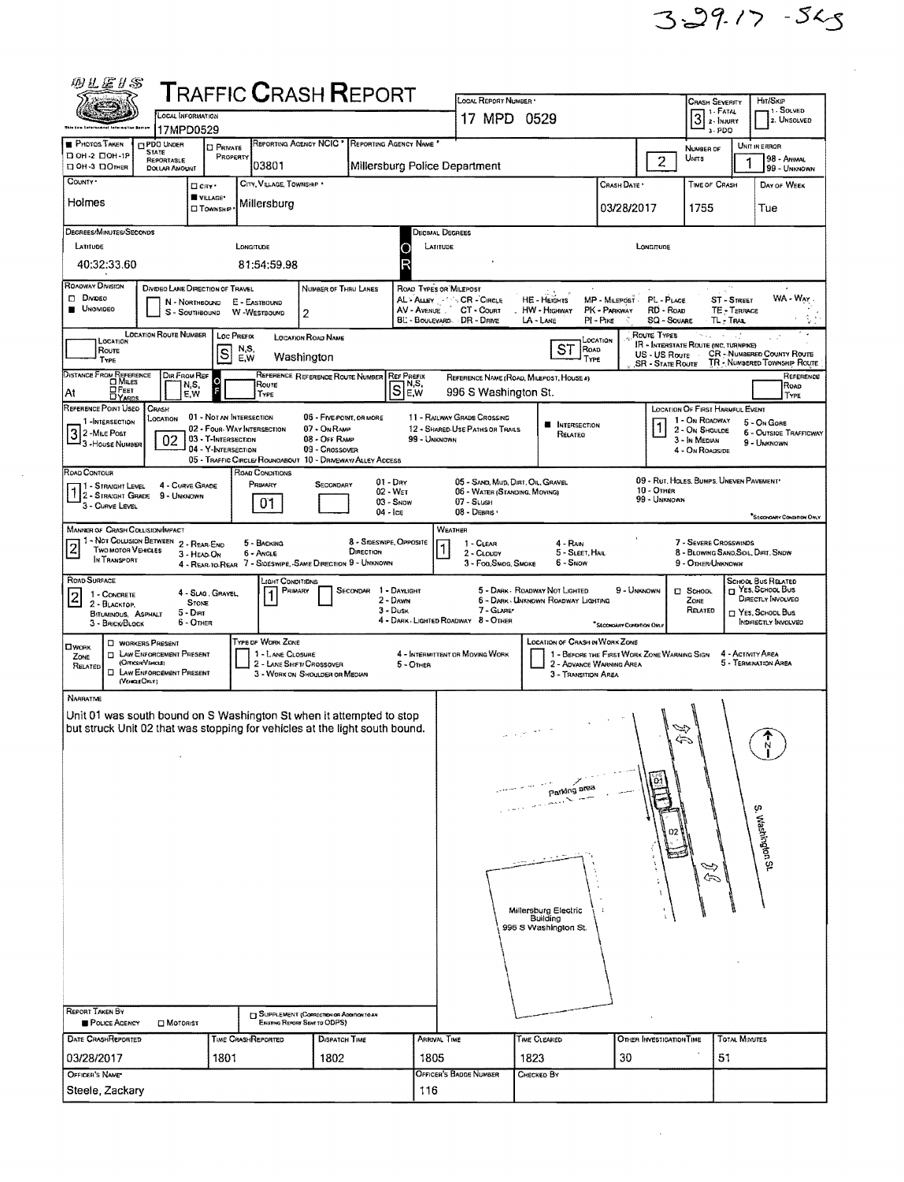$329.17 - 543$ 

| 物汇运升出                                                                                                                                                                                                                       |                                                                                                                                                                                                                                                                          |                                         |                              |                                                                                                  |                          |                          |                                                    |                                                                       |                                                                                        |                                        |                                                   |                             |                                                                   |
|-----------------------------------------------------------------------------------------------------------------------------------------------------------------------------------------------------------------------------|--------------------------------------------------------------------------------------------------------------------------------------------------------------------------------------------------------------------------------------------------------------------------|-----------------------------------------|------------------------------|--------------------------------------------------------------------------------------------------|--------------------------|--------------------------|----------------------------------------------------|-----------------------------------------------------------------------|----------------------------------------------------------------------------------------|----------------------------------------|---------------------------------------------------|-----------------------------|-------------------------------------------------------------------|
|                                                                                                                                                                                                                             | <b>TRAFFIC CRASH REPORT</b><br>LOCAL INFORMATION                                                                                                                                                                                                                         |                                         |                              |                                                                                                  |                          |                          | LOCAL REPORT NUMBER *<br>17 MPD 0529               |                                                                       | Hm/SkiP<br><b>CRASH SEVERITY</b><br>1 - Solved<br>3 <sup>1. FATAL</sup><br>2. UNSOLVED |                                        |                                                   |                             |                                                                   |
| This Low Laterssment faint mailee Bootar<br>17MPD0529<br><b>REPORTING AGENCY NCIC *</b><br><b>PHOTOS TAKEN</b><br>PDO UNDER<br><b>D</b> PRIVATE                                                                             |                                                                                                                                                                                                                                                                          |                                         |                              |                                                                                                  |                          |                          | REPORTING AGENCY NAME                              |                                                                       |                                                                                        |                                        |                                                   |                             |                                                                   |
| □ ОН-2 □ ОН-1Р<br>DOH-3 DOMER                                                                                                                                                                                               | <b>STATE</b><br>REPORTABLE                                                                                                                                                                                                                                               | PROPERTY                                | 03801                        |                                                                                                  |                          |                          |                                                    |                                                                       |                                                                                        | $\overline{c}$                         | NUMBER OF<br>UNITS                                | 1                           | UNIT IN ERROR<br>98 - Anhaal<br>99 - UNKNOWN                      |
| COUNTY <sup>*</sup>                                                                                                                                                                                                         | DOLLAR AMOUNT                                                                                                                                                                                                                                                            | $\Box$ City $\cdot$                     |                              | Millersburg Police Department<br>CITY, VILLAGE, TOWNSHIP *<br>CRASH DATE<br><b>TIME OF CRASH</b> |                          |                          |                                                    |                                                                       |                                                                                        |                                        |                                                   |                             |                                                                   |
| Holmes                                                                                                                                                                                                                      |                                                                                                                                                                                                                                                                          | VILLAGE*<br><b>O</b> TOWNSHIP           | Millersburg                  |                                                                                                  |                          |                          |                                                    |                                                                       | 03/28/2017                                                                             |                                        | 1755                                              |                             | Tue                                                               |
| DECREES/MINUTES/SECONDS                                                                                                                                                                                                     |                                                                                                                                                                                                                                                                          |                                         |                              |                                                                                                  |                          | Decimal Degrees          |                                                    |                                                                       |                                                                                        |                                        |                                                   |                             |                                                                   |
| LATITUDE<br>LONGITUDE<br>LATITUDE<br>LONGITUDE<br>O                                                                                                                                                                         |                                                                                                                                                                                                                                                                          |                                         |                              |                                                                                                  |                          |                          |                                                    |                                                                       |                                                                                        |                                        |                                                   |                             |                                                                   |
| 40:32:33.60                                                                                                                                                                                                                 |                                                                                                                                                                                                                                                                          |                                         | 81:54:59.98                  |                                                                                                  |                          |                          |                                                    |                                                                       |                                                                                        |                                        |                                                   |                             |                                                                   |
| <b>ROADWAY DIVISION</b>                                                                                                                                                                                                     |                                                                                                                                                                                                                                                                          | DIVIDEO LANE DIRECTION OF TRAVEL        |                              | NUMBER OF THRU LANES                                                                             |                          | ROAD TYPES OR MILEPOST   |                                                    |                                                                       |                                                                                        |                                        |                                                   | $\mathbb{R}^{n \times n}$   |                                                                   |
| <b>DIVOEO</b><br><b>UNONIDEO</b>                                                                                                                                                                                            |                                                                                                                                                                                                                                                                          | N - NORTHBOUND<br>S - SOUTHBOUND        | E - EASTBOUND<br>W-WESTBOUND | $\overline{c}$                                                                                   |                          |                          | AL > ALLEY  CR - CIRCLE<br>AV - AVENUE CT - COURT  | <b>HE-HEIGHTS</b><br>. HW - Highway<br>LA - LANE                      | MP - Milepost -<br>PK - PARKWAY                                                        | PL - PLACE<br>RD - Road<br>SQ - SQUARE |                                                   | ST - STREET<br>TE - TERRACE | WA - Way                                                          |
|                                                                                                                                                                                                                             | BL - BOULEVARD DR - DRIVE<br>$Pl - P$ IKE<br>TL-TRAL<br><b>LOCATION ROUTE NUMBER</b><br><b>LOC PREFIX</b><br>ROUTE TYPES<br><b>LOCATION ROAD NAME</b><br>LOCATION<br>LOCATION                                                                                            |                                         |                              |                                                                                                  |                          |                          |                                                    |                                                                       |                                                                                        |                                        |                                                   |                             |                                                                   |
| <b>IR - INTERSTATE ROUTE (INC. TURNPIKE)</b><br>ST<br>N,S,<br>ROAD<br>Route<br>S<br><b>CR</b> - NUMBERED COUNTY ROUTE<br>US - US Route<br>Washington<br>E.W<br>TYPE<br>TYPE                                                 |                                                                                                                                                                                                                                                                          |                                         |                              |                                                                                                  |                          |                          |                                                    |                                                                       |                                                                                        |                                        |                                                   |                             |                                                                   |
| TR - NUMBERED TOWNSHIP ROUTE<br><b>SR - STATE ROUTE</b><br><b>DISTANCE FROM REFERENCE</b><br>DIR FROM REF<br>REFERENCE REFERENCE ROUTE NUMBER<br><b>REF PREFIX</b><br>REFERENCE<br>REFERENCE NAME (ROAD, MILEPOST, HOUSE #) |                                                                                                                                                                                                                                                                          |                                         |                              |                                                                                                  |                          |                          |                                                    |                                                                       |                                                                                        |                                        |                                                   |                             |                                                                   |
| O Mues<br>Se.w<br>N,S,<br>Route<br>ROAD<br>⊡ Гавт<br>996 S Washington St.<br>At<br>E,W<br>TYPE<br>TYPE<br>DYARDS                                                                                                            |                                                                                                                                                                                                                                                                          |                                         |                              |                                                                                                  |                          |                          |                                                    |                                                                       |                                                                                        |                                        |                                                   |                             |                                                                   |
| REFERENCE POINT USED<br>1-INTERSECTION                                                                                                                                                                                      | CRASH<br><b>LOCATION</b>                                                                                                                                                                                                                                                 | 01 - NOT AN INTERSECTION                |                              |                                                                                                  | 06 - FIVE-POINT, OR MORE |                          | 11 - RAILWAY GRADE CROSSING                        | <b>NITERSECTION</b>                                                   |                                                                                        |                                        | LOCATION OF FIRST HARMFUL EVENT<br>1 - On ROADWAY |                             | 5 - On Gore                                                       |
| 3 2 - Mile Post<br>3 - House NUMBER                                                                                                                                                                                         | 02                                                                                                                                                                                                                                                                       | 03 - T-INTERSECTION                     | 02 - Four-Way Intersection   | 07 - On RAMP<br>08 - OFF RAMP                                                                    |                          | 99 - UNKNOWN             | 12 - SHARED USE PATHS OR TRAILS                    | RELATED                                                               |                                                                                        |                                        | 2 - ON SHOULDE<br>3 - In Median                   |                             | <b>6 - OUTSIDE TRAFFICWAY</b><br>9 - Unknown                      |
|                                                                                                                                                                                                                             |                                                                                                                                                                                                                                                                          | 04 - Y-INTERSECTION                     |                              | 09 - Crossover<br>05 - TRAFFIC CIRCLE/ ROUNDABOUT 10 - DRIVEWAY/ ALLEY ACCESS                    |                          |                          |                                                    |                                                                       |                                                                                        |                                        | 4 - ON ROADSIDE                                   |                             |                                                                   |
| ROAD CONTOUR<br>ROAD CONDITIONS<br>09 - RUT, HOLES, BUMPS, UNEVEN PAVEMENT'<br>$01 - \text{Drv}$<br>05 - SAND, MUD, DIRT, OIL, GRAVEL<br>4 - CURVE GRADE<br>PRIMARY<br><b>SECONDARY</b><br>11 - Straight Level              |                                                                                                                                                                                                                                                                          |                                         |                              |                                                                                                  |                          |                          |                                                    |                                                                       |                                                                                        |                                        |                                                   |                             |                                                                   |
|                                                                                                                                                                                                                             | 1 - STRAIGHT LEVEL 4 - CURVE CHI<br>1 2 - STRAIGHT GRADE 9 - UNKNOWN<br><b>10 - OTHER</b><br>02 - Wer<br>06 - WATER (STANDING, MOVING)<br>99 - Unknown<br>01<br>$03 -$ SNOW<br>$07 -$ Stush<br>3 - CURVE LEVEL                                                           |                                         |                              |                                                                                                  |                          |                          |                                                    |                                                                       |                                                                                        |                                        |                                                   |                             |                                                                   |
|                                                                                                                                                                                                                             | 08 - DEBRIS<br>$04 - \text{lc}$<br><b>SECONDARY CONDITION ONLY</b><br>MANNER OF CRASH COLLISION/IMPACT<br>WEATHER                                                                                                                                                        |                                         |                              |                                                                                                  |                          |                          |                                                    |                                                                       |                                                                                        |                                        |                                                   |                             |                                                                   |
| $\overline{2}$                                                                                                                                                                                                              | 1 - Not Collision Between 2 - Rear-End<br>8 - SIDESWIPE, OPPOSITE<br>7 - SEVERE CROSSWINDS<br>5 - BACKING<br>1 - CLEAR<br>4 - RAIN<br>TWO MOTOR VEHICLES<br>DIRECTION<br>8 - BLOWING SAND, SOIL, DIRT, SNOW<br>6 - Avale<br>5 - SLEET, HAIL<br>2 - CLOUDY<br>3 - HEAD-ON |                                         |                              |                                                                                                  |                          |                          |                                                    |                                                                       |                                                                                        |                                        |                                                   |                             |                                                                   |
| IN TRANSPORT                                                                                                                                                                                                                |                                                                                                                                                                                                                                                                          |                                         |                              | 4 - REAR-TO-REAR 7 - SIDESWIPE, SAME DIRECTION 9 - UNKNOWN                                       |                          |                          | 3 - Fog, SMOG, SMOKE                               | 6 - Snow                                                              |                                                                                        |                                        | 9 - OTHER/UNKNOWN                                 |                             |                                                                   |
| ROAD SURFACE<br>1 - CONCRETE<br>$\overline{2}$                                                                                                                                                                              |                                                                                                                                                                                                                                                                          | 4 - Slag, Gravel                        |                              | Light Conditions<br>PRIMARY                                                                      | SECONDAR                 | 1 - DAYLIGHT<br>2 - DAWN |                                                    | 5 - DARK - ROADWAY NOT LIGHTED<br>6 - DARK - UNKNOWN ROADWAY LIGHTING | 9 - Unknown                                                                            |                                        | <b>CI</b> SCHOOL                                  |                             | SCHOOL BUS RELATED<br>$\Box$ Yes, School Bus<br>DIRECTLY INVOLVED |
| 2 - BLACKTOP,<br><b>BITUMINOUS, ASPHALT</b>                                                                                                                                                                                 |                                                                                                                                                                                                                                                                          | <b>STONE</b><br>$5 - D$ <sub>iFIT</sub> |                              |                                                                                                  |                          | $3 - D$ usk              | 7 - GLARE*<br>4 - DARK - LIGHTED ROADWAY 8 - OTHER |                                                                       |                                                                                        |                                        | ZONE<br>RELATED                                   |                             | T YES, SCHOOL BUS                                                 |
| 3 - BRICK/BLOCK                                                                                                                                                                                                             | <b>D</b> WORKERS PRESENT                                                                                                                                                                                                                                                 | 6 - OTHER                               | TYPE OF WORK ZONE            |                                                                                                  |                          |                          |                                                    | LOCATION OF CRASH IN WORK ZONE                                        | "SECONDARY CONDITION ONLY                                                              |                                        |                                                   |                             | INDIRECTLY INVOLVED                                               |
| <b>DWORK</b><br>ZONE                                                                                                                                                                                                        | <b>D</b> LAW ENFORCEMENT PRESENT<br>(OFFICER/VEHICLE)                                                                                                                                                                                                                    |                                         |                              | 1 - LANE CLOSURE<br>2 - LANE SHIFT/ CROSSOVER                                                    |                          | $5 -$ OTHER              | 4 - INTERMITTENT OR MOVING WORK                    | 2 - ADVANCE WARNING AREA                                              | 1 - BEFORE THE FIRST WORK ZONE WARNING SIGN                                            |                                        |                                                   | 4 - ACTIVITY AREA           | 5 - TERMINATION AREA                                              |
| RELATED                                                                                                                                                                                                                     | <b>Q</b> LAW ENFORCEMENT PRESENT<br>(VEHOLE ONLY)                                                                                                                                                                                                                        |                                         |                              | 3 - WORK ON SHOULDER OR MEDIAN                                                                   |                          |                          |                                                    | 3 - TRANSITION AREA                                                   |                                                                                        |                                        |                                                   |                             |                                                                   |
| NARRATME                                                                                                                                                                                                                    |                                                                                                                                                                                                                                                                          |                                         |                              |                                                                                                  |                          |                          |                                                    |                                                                       |                                                                                        |                                        |                                                   |                             |                                                                   |
| Unit 01 was south bound on S Washington St when it attempted to stop<br>but struck Unit 02 that was stopping for vehicles at the light south bound.                                                                         |                                                                                                                                                                                                                                                                          |                                         |                              |                                                                                                  |                          |                          |                                                    |                                                                       |                                                                                        |                                        |                                                   |                             |                                                                   |
|                                                                                                                                                                                                                             |                                                                                                                                                                                                                                                                          |                                         |                              |                                                                                                  |                          |                          |                                                    |                                                                       |                                                                                        |                                        |                                                   |                             | Ņ                                                                 |
|                                                                                                                                                                                                                             |                                                                                                                                                                                                                                                                          |                                         |                              |                                                                                                  |                          |                          |                                                    |                                                                       |                                                                                        |                                        |                                                   |                             |                                                                   |
|                                                                                                                                                                                                                             |                                                                                                                                                                                                                                                                          |                                         |                              |                                                                                                  |                          |                          |                                                    | Pandng area                                                           |                                                                                        |                                        |                                                   |                             |                                                                   |
|                                                                                                                                                                                                                             |                                                                                                                                                                                                                                                                          |                                         |                              |                                                                                                  |                          |                          |                                                    |                                                                       |                                                                                        |                                        |                                                   |                             |                                                                   |
|                                                                                                                                                                                                                             |                                                                                                                                                                                                                                                                          |                                         |                              |                                                                                                  |                          |                          |                                                    |                                                                       |                                                                                        |                                        |                                                   |                             | S. Washington St.                                                 |
|                                                                                                                                                                                                                             |                                                                                                                                                                                                                                                                          |                                         |                              |                                                                                                  |                          |                          |                                                    |                                                                       |                                                                                        |                                        |                                                   |                             |                                                                   |
|                                                                                                                                                                                                                             |                                                                                                                                                                                                                                                                          |                                         |                              |                                                                                                  |                          |                          |                                                    |                                                                       |                                                                                        |                                        | ⇦                                                 |                             |                                                                   |
|                                                                                                                                                                                                                             |                                                                                                                                                                                                                                                                          |                                         |                              |                                                                                                  |                          |                          |                                                    |                                                                       |                                                                                        |                                        |                                                   |                             |                                                                   |
|                                                                                                                                                                                                                             |                                                                                                                                                                                                                                                                          |                                         |                              |                                                                                                  |                          |                          |                                                    | Millersburg Electric<br>Building                                      |                                                                                        |                                        |                                                   |                             |                                                                   |
|                                                                                                                                                                                                                             |                                                                                                                                                                                                                                                                          |                                         |                              |                                                                                                  |                          |                          |                                                    | 996 S Washington St.                                                  |                                                                                        |                                        |                                                   |                             |                                                                   |
|                                                                                                                                                                                                                             |                                                                                                                                                                                                                                                                          |                                         |                              |                                                                                                  |                          |                          |                                                    |                                                                       |                                                                                        |                                        |                                                   |                             |                                                                   |
|                                                                                                                                                                                                                             |                                                                                                                                                                                                                                                                          |                                         |                              |                                                                                                  |                          |                          |                                                    |                                                                       |                                                                                        |                                        |                                                   |                             |                                                                   |
|                                                                                                                                                                                                                             |                                                                                                                                                                                                                                                                          |                                         |                              |                                                                                                  |                          |                          |                                                    |                                                                       |                                                                                        |                                        |                                                   |                             |                                                                   |
| <b>REPORT TAKEN BY</b><br>POLICE AGENCY                                                                                                                                                                                     | $\Box$ Motorist                                                                                                                                                                                                                                                          |                                         |                              | SUPPLEMENT (CORRECTION OR ADDITION TO AN<br>Existing Report Sent to ODPS)                        |                          |                          |                                                    |                                                                       |                                                                                        |                                        |                                                   |                             |                                                                   |
| DATE CRASHREPORTED                                                                                                                                                                                                          |                                                                                                                                                                                                                                                                          |                                         | TIME CRASHREPORTED           | <b>DISPATCH TIME</b>                                                                             |                          | Arrival Time             |                                                    | TIME CLEARED                                                          |                                                                                        | <b>OTHER INVESTIGATION TIME</b>        |                                                   | <b>TOTAL MINUTES</b>        |                                                                   |
| 03/28/2017<br>OFFICER'S NAME                                                                                                                                                                                                |                                                                                                                                                                                                                                                                          | 1801                                    |                              | 1802                                                                                             |                          | 1805                     | OFFICER'S BADGE NUMBER                             | 1823                                                                  | 30                                                                                     |                                        | 51                                                |                             |                                                                   |
| Steele, Zackary                                                                                                                                                                                                             |                                                                                                                                                                                                                                                                          |                                         |                              |                                                                                                  |                          | 116                      |                                                    | CHECKED BY                                                            |                                                                                        |                                        |                                                   |                             |                                                                   |
|                                                                                                                                                                                                                             |                                                                                                                                                                                                                                                                          |                                         |                              |                                                                                                  |                          |                          |                                                    |                                                                       |                                                                                        |                                        |                                                   |                             |                                                                   |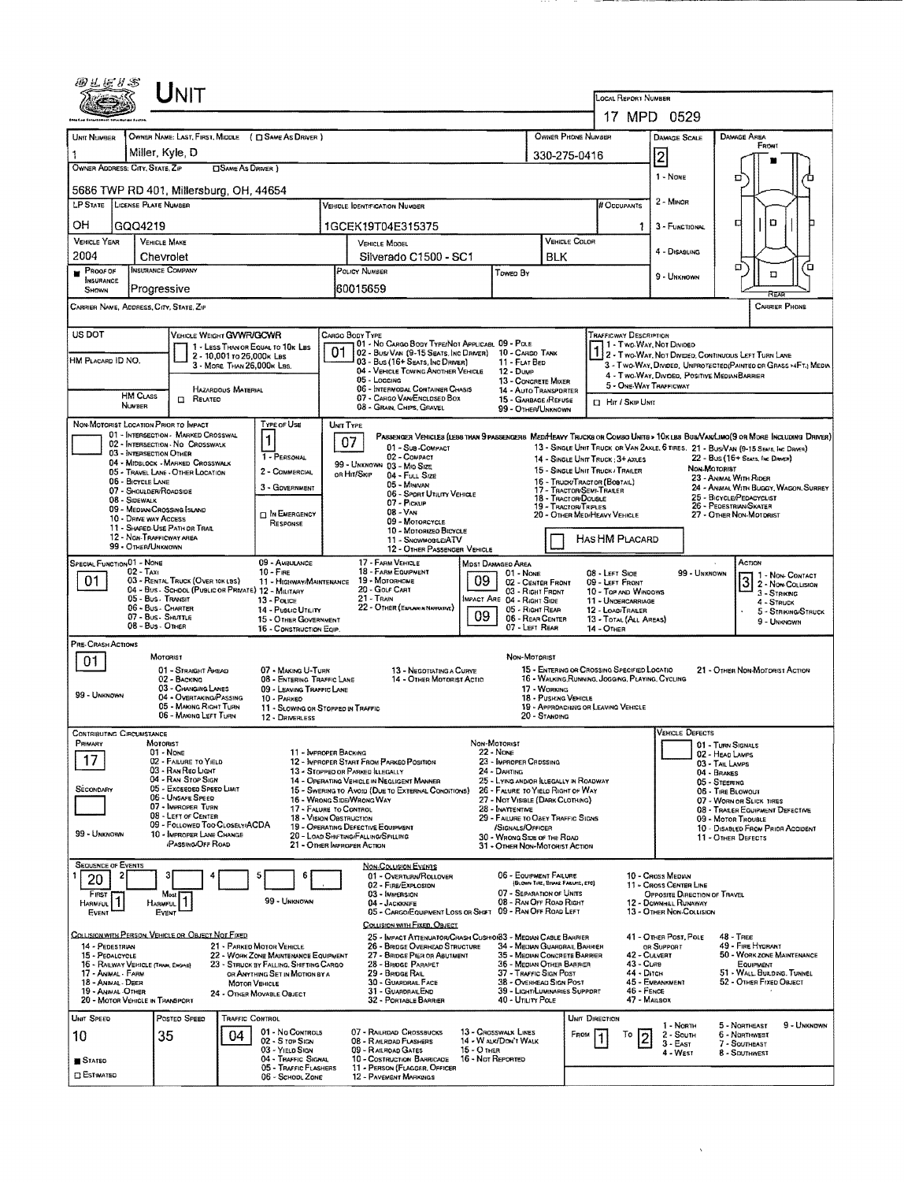|                                                                             |                                         | Unit                                                                         |                            |                                                                          |                                                                |                                                                                                                                 |                                                                             |                                                                                   |                                                    |                |                                                                                                                                                                 |                                                                         |                                    |                                                                                                                                                                                                                     |  |  |  |
|-----------------------------------------------------------------------------|-----------------------------------------|------------------------------------------------------------------------------|----------------------------|--------------------------------------------------------------------------|----------------------------------------------------------------|---------------------------------------------------------------------------------------------------------------------------------|-----------------------------------------------------------------------------|-----------------------------------------------------------------------------------|----------------------------------------------------|----------------|-----------------------------------------------------------------------------------------------------------------------------------------------------------------|-------------------------------------------------------------------------|------------------------------------|---------------------------------------------------------------------------------------------------------------------------------------------------------------------------------------------------------------------|--|--|--|
|                                                                             |                                         |                                                                              |                            |                                                                          |                                                                |                                                                                                                                 |                                                                             |                                                                                   |                                                    |                | <b>LOCAL REPORT NUMBER</b><br>17 MPD 0529                                                                                                                       |                                                                         |                                    |                                                                                                                                                                                                                     |  |  |  |
| <b>UNIT NUMBER</b>                                                          |                                         |                                                                              |                            | OWNER NAME: LAST, FIRST, MIDDLE ( Q SAME AS DRIVER )                     |                                                                |                                                                                                                                 |                                                                             |                                                                                   |                                                    |                |                                                                                                                                                                 | DAMAGE SCALE                                                            |                                    | <b>DAMAGE AREA</b>                                                                                                                                                                                                  |  |  |  |
|                                                                             |                                         | Miller, Kyle, D                                                              |                            |                                                                          |                                                                | OWNER PHONE NUMBER<br>330-275-0416                                                                                              |                                                                             |                                                                                   |                                                    |                |                                                                                                                                                                 |                                                                         |                                    | FRONT                                                                                                                                                                                                               |  |  |  |
| OWNER ADDRESS: CITY, STATE, ZIP                                             |                                         |                                                                              | <b>CISAME AS DRIVER</b> )  |                                                                          |                                                                |                                                                                                                                 |                                                                             |                                                                                   |                                                    |                |                                                                                                                                                                 | 2<br>1 - NONE                                                           |                                    | D                                                                                                                                                                                                                   |  |  |  |
| 5686 TWP RD 401, Millersburg, OH, 44654                                     |                                         |                                                                              |                            |                                                                          |                                                                |                                                                                                                                 |                                                                             |                                                                                   |                                                    |                |                                                                                                                                                                 |                                                                         |                                    |                                                                                                                                                                                                                     |  |  |  |
| <b>LP STATE</b>                                                             | LICENSE PLATE NUMBER                    |                                                                              |                            |                                                                          |                                                                | VEHICLE IDENTIFICATION NUMBER                                                                                                   |                                                                             |                                                                                   |                                                    |                | # OCCUPANTS                                                                                                                                                     | $2 -$ MINOR                                                             |                                    |                                                                                                                                                                                                                     |  |  |  |
| OН                                                                          | GQQ4219                                 |                                                                              |                            |                                                                          |                                                                | 1GCEK19T04E315375                                                                                                               |                                                                             |                                                                                   |                                                    |                | 1                                                                                                                                                               | 3 - FUNCTIONAL                                                          |                                    | D                                                                                                                                                                                                                   |  |  |  |
| <b>VEHICLE YEAR</b><br>2004                                                 |                                         | VEHICLE MAKE                                                                 |                            |                                                                          |                                                                | <b>VEHICLE MODEL</b>                                                                                                            |                                                                             |                                                                                   |                                                    | VEHICLE COLOR  |                                                                                                                                                                 | 4 - DISABLING                                                           |                                    |                                                                                                                                                                                                                     |  |  |  |
| PROOF                                                                       |                                         | Chevrolet<br>INSURANCE COMPANY                                               |                            |                                                                          |                                                                | Silverado C1500 - SC1<br><b>POLICY NUMBER</b>                                                                                   |                                                                             | Томео Вү                                                                          | BLK                                                |                |                                                                                                                                                                 |                                                                         |                                    | ō<br>α<br>□                                                                                                                                                                                                         |  |  |  |
| <b>INSURANCE</b><br>SHOWN                                                   |                                         | Progressive                                                                  |                            |                                                                          |                                                                | 60015659                                                                                                                        |                                                                             |                                                                                   |                                                    |                |                                                                                                                                                                 | 9 - UNKNOWN                                                             |                                    |                                                                                                                                                                                                                     |  |  |  |
|                                                                             |                                         | CARRIER NAME, ADDRESS, CITY, STATE, ZIP                                      |                            |                                                                          |                                                                |                                                                                                                                 |                                                                             |                                                                                   |                                                    |                |                                                                                                                                                                 |                                                                         |                                    | Rear<br><b>CARRIER PHONE</b>                                                                                                                                                                                        |  |  |  |
| US DOT                                                                      |                                         | VEHICLE WEIGHT GVWR/GCWR                                                     |                            |                                                                          |                                                                | CARGO BODY TYPE                                                                                                                 |                                                                             |                                                                                   |                                                    |                | <b>TRAFFICWAY DESCRIPTION</b>                                                                                                                                   |                                                                         |                                    |                                                                                                                                                                                                                     |  |  |  |
|                                                                             |                                         |                                                                              | 2 - 10,001 to 26,000k Las  | 1 - LESS THAN OR EQUAL TO 10K LBS                                        | 01                                                             | 01 - No CARGO BODY TYPE/NOT APPLICABL 09 - POLE<br>02 - Bus/Van (9-15 Seats, Inc Driver) 10 - Cargo Tank                        |                                                                             |                                                                                   |                                                    |                | 1 - Two-Way, Not Divided                                                                                                                                        |                                                                         |                                    | 1 2 - Two-Way, Not Divided, Continuous Left Turn Lane                                                                                                                                                               |  |  |  |
| HM PLACARD ID NO.                                                           |                                         |                                                                              | 3 - MORE THAN 26,000K LBS. |                                                                          |                                                                | 03 - Bus (16+ Seats, Inc Driver)<br>04 - VEHICLE TOWING ANOTHER VEHICLE                                                         |                                                                             | 11 - FLAT BED<br><b>12 - Duwp</b>                                                 |                                                    |                |                                                                                                                                                                 |                                                                         |                                    | 3 - Two-WAY, Divideo, UNPROTECTED (PAINTED OR GRASS >4FT.) MEDIA                                                                                                                                                    |  |  |  |
|                                                                             |                                         |                                                                              | HAZARDOUS MATERIAL         |                                                                          |                                                                | 05 LOGGING<br>06 - INTERMODAL CONTAINER CHASIS                                                                                  |                                                                             | 13 - CONCRETE MIXER                                                               |                                                    |                |                                                                                                                                                                 | 4 - Two-Way, Divideo, Positive Median Barrier<br>5 - ONE-WAY TRAFFICWAY |                                    |                                                                                                                                                                                                                     |  |  |  |
|                                                                             | <b>HM CLASS</b><br><b>NUMBER</b>        | $\Box$ Related                                                               |                            |                                                                          |                                                                | 14 - AUTO TRANSPORTER<br>07 - CARGO VAN ENCLOSED BOX<br>15 - GARBAGE /REFUSE<br>08 - GRAIN, CHIPS, GRAVEL<br>99 - OTHEN/UNKNOWN |                                                                             |                                                                                   |                                                    |                | El Hir / Skip Unit                                                                                                                                              |                                                                         |                                    |                                                                                                                                                                                                                     |  |  |  |
|                                                                             |                                         | NON-MOTORIST LOCATION PRIOR TO IMPACT<br>01 - INTERSECTION - MARKED CROSSWAL |                            | TYPE OF USE                                                              | <b>UNIT TYPE</b>                                               |                                                                                                                                 |                                                                             |                                                                                   |                                                    |                |                                                                                                                                                                 |                                                                         |                                    |                                                                                                                                                                                                                     |  |  |  |
|                                                                             | 03 - INTERSECTION OTHER                 | 02 - INTERSECTION NO CROSSWALK                                               |                            |                                                                          |                                                                | 07<br>01 - Sus-Compact                                                                                                          |                                                                             |                                                                                   |                                                    |                |                                                                                                                                                                 |                                                                         |                                    | PASSENGER VEHICLES (LESS THAN 9 PASSENGERS MEDIMEANY TRUCKS OR COMSO UNITS > 10KLES BUS/VAM/LIMO(9 OR MORE INCLUDING DRIVER)<br>13 - SINGLE UNIT TRUCK OR VAN ZAXLE, 6 TIRES. 21 - BUS/VAN (9-15 SEATS, INC DRIVER) |  |  |  |
|                                                                             |                                         | 04 - MIDBLOCK - MARKED CROSSWALK<br>05 - TRAVEL LANE - OTHER LOCATION        |                            | 1 - PERSONAL<br>2 - COMMERCIAL                                           |                                                                | 02 - COMPACT<br>99 - UNKNOWN 03 - MID SIZE                                                                                      |                                                                             |                                                                                   |                                                    |                | 14 - SINGLE UNIT TRUCK; 3+ AXLES                                                                                                                                |                                                                         | Non-Motorist                       | 22 - BUS (16+ SEATS, INC DAMER)                                                                                                                                                                                     |  |  |  |
|                                                                             | 06 - BICYCLE LANE                       |                                                                              |                            | 3 - GOVERNMENT                                                           |                                                                | OR HIT/SKIP<br>04 - FULL SIZE<br>05 - Minivan                                                                                   |                                                                             |                                                                                   |                                                    |                | 15 - SINGLE UNIT TRUCK / TRAILER<br>23 - ANIMAL WITH RIDER<br>16 - TRUCK/TRACTOR (BOSTAIL)<br>24 - ANMAL WITH BUGGY, WAGON, SURREY<br>17 - TRACTOR/SEMI-TRAILER |                                                                         |                                    |                                                                                                                                                                                                                     |  |  |  |
|                                                                             | 07 - SHOULDER/ROADSIDE<br>08 - Sidewalk | 09 - MEDIAN/CROSSING ISLAND                                                  |                            |                                                                          |                                                                | 06 - Sport UTILITY VEHICLE<br>07 - Pickup                                                                                       |                                                                             | 18 - TRACTOR/DOUBLE<br>19 - TRACTOR/TRIPLES                                       | 25 - BICYCLE/PEDACYCLIST<br>26 - PEDESTRIAN/SKATER |                |                                                                                                                                                                 |                                                                         |                                    |                                                                                                                                                                                                                     |  |  |  |
|                                                                             | 10 - DRIVE WAY ACCESS                   | 11 - SHARED-USE PATH OR TRAIL                                                |                            | <b>IN EMERGENCY</b><br>RESPONSE                                          | $08 - V$ AN<br>20 - OTHER MEDIHEAVY VEHICLE<br>09 - MOTORCYCLE |                                                                                                                                 |                                                                             |                                                                                   |                                                    |                |                                                                                                                                                                 |                                                                         |                                    | 27 - O ner Non-Motorust                                                                                                                                                                                             |  |  |  |
|                                                                             | 99 - OTHER/UNKNOWN                      | 12 - NON-TRAFFICWAY AREA                                                     |                            |                                                                          |                                                                | 10 - MOTORIZEO BICYCLE<br>11 - SNOWMOBILE/ATV                                                                                   |                                                                             |                                                                                   |                                                    |                | HAS HM PLACARD                                                                                                                                                  |                                                                         |                                    |                                                                                                                                                                                                                     |  |  |  |
| SPECIAL FUNCTION 01 - NONE                                                  |                                         |                                                                              |                            | 09 - AMBULANCE                                                           |                                                                | 12 - OTHER PASSENGER VEHICLE<br>17 - FARM VEHICLE                                                                               |                                                                             | <b>MOST DAMAGEO AREA</b>                                                          |                                                    |                |                                                                                                                                                                 |                                                                         |                                    | Acnon                                                                                                                                                                                                               |  |  |  |
| 01                                                                          | $02 - Tax1$                             | 03 - RENTAL TRUCK (OVER 10K LBS)                                             |                            | $10 -$ Fire                                                              |                                                                | 18 - FARM EQUIPMENT<br>11 - HIGHWAY/MAINTENANCE 19 - MOTORHOME                                                                  | 09                                                                          | 01 - None<br>02 - CENTER FRONT                                                    |                                                    |                | 08 - LEFT SIDE<br>09 - LEFT FRONT                                                                                                                               |                                                                         | <b>99 - Unknown</b>                | 1 1 - Non-Contact<br>3                                                                                                                                                                                              |  |  |  |
|                                                                             |                                         | 04 - Bus - SCHOOL (PUBLIC OR PRIVATE) 12 - MILITARY<br>05 - Bus. Transit     |                            | 13 - Pouce                                                               |                                                                | 20 - GOLF CART<br>$21 -$ TRAIN                                                                                                  |                                                                             | 03 - RIGHT FRONT<br>MPACT ARE 04 - RIGHT SIDE                                     |                                                    |                | 10 - TOP AND WINDOWS<br>11 - UNDERCARRIAGE                                                                                                                      |                                                                         |                                    | 2 - Non-Collision<br>3 - STRIKING                                                                                                                                                                                   |  |  |  |
|                                                                             |                                         | 06 - Bus - Charter<br>07 - Bus - SHUTTLE                                     |                            | 14 - PUBLIC UTILITY<br>15 - OTHER GOVERNMENT                             |                                                                | 22 - OTHER (EXPLANTIK NARRATIVE)                                                                                                | 09                                                                          | 05 - RIGHT REAR<br>06 - REAR CENTER                                               |                                                    |                | 12 - LOAD/TRAILER<br>13 - TOTAL (ALL AREAS)                                                                                                                     |                                                                         |                                    | 4 - Struck<br>5 - STRIKING/STRUCK                                                                                                                                                                                   |  |  |  |
|                                                                             |                                         | 08 - Bus - OTHER                                                             |                            | 16 - CONSTRUCTION EQIP.                                                  |                                                                |                                                                                                                                 |                                                                             | 07 - LEFT REAR                                                                    |                                                    |                | 14 - Отнев                                                                                                                                                      |                                                                         |                                    | 9 - UNKNOWN                                                                                                                                                                                                         |  |  |  |
| PRE-CRASH ACTIONS                                                           |                                         | MOTORIST                                                                     |                            |                                                                          |                                                                |                                                                                                                                 |                                                                             | NON-MOTORIST                                                                      |                                                    |                |                                                                                                                                                                 |                                                                         |                                    |                                                                                                                                                                                                                     |  |  |  |
| 01                                                                          |                                         | 01 - STRAIGHT AHEAD                                                          |                            | 07 - MAKING U-TURN                                                       |                                                                | 13 - NEGOTIATING A CURVE                                                                                                        |                                                                             |                                                                                   |                                                    |                | 15 - ENTERING OR CROSSING SPECIFIED LOCATIO                                                                                                                     |                                                                         |                                    | 21 - OTHER NON-MOTORIST ACTION                                                                                                                                                                                      |  |  |  |
| 99 - UNKNOWN                                                                |                                         | 02 - BACKING<br>03 - CHANGING LANES                                          |                            | 08 - ENTERING TRAFFIC LANE<br>09 - LEAVING TRAFFIC LANE                  |                                                                | 14 - OTHER MOTORIST ACTIO                                                                                                       | 17 - WORKING                                                                |                                                                                   | 16 - WALKING, RUNNING, JOGGING, PLAYING, CYCLING   |                |                                                                                                                                                                 |                                                                         |                                    |                                                                                                                                                                                                                     |  |  |  |
|                                                                             |                                         | 04 - OVERTAKING/PASSING<br>05 - MAKING RIGHT TURN                            |                            | 10 - PARKED<br>11 - SLOWING OR STOPPED IN TRAFFIC                        |                                                                | 18 - Pushing Vehicle<br>19 - APPROACHING OR LEAVING VEHICLE<br>20 - Standing                                                    |                                                                             |                                                                                   |                                                    |                |                                                                                                                                                                 |                                                                         |                                    |                                                                                                                                                                                                                     |  |  |  |
| <b>CONTRIBUTING CIRCUMSTANCE</b>                                            |                                         | 06 - MAKING LEFT TURN                                                        |                            | 12 - DRIVERLESS                                                          |                                                                |                                                                                                                                 |                                                                             |                                                                                   |                                                    |                |                                                                                                                                                                 | <b>VEHICLE DEFECTS</b>                                                  |                                    |                                                                                                                                                                                                                     |  |  |  |
| PRIMARY                                                                     |                                         | MOTORIST<br>01 - NONE                                                        |                            | 11 - IMPROPER BACKING                                                    |                                                                |                                                                                                                                 | NON-MOTORIST                                                                | $22 - None$                                                                       |                                                    |                |                                                                                                                                                                 |                                                                         | 01 - TURN SIGNALS                  |                                                                                                                                                                                                                     |  |  |  |
| 17                                                                          |                                         | 02 - FAILURE TO YIELD<br>03 - RAN REO LIGHT                                  |                            |                                                                          |                                                                | 12 - IMPROPER START FROM PARKEO POSITION<br>13 - Stopped or PARKED ILLEGALLY                                                    |                                                                             | 23 - IMPROPER CROSSING<br>24 - DARTING                                            |                                                    |                |                                                                                                                                                                 |                                                                         | 02 - HEAD LAMPS<br>03 - TAIL LAMPS |                                                                                                                                                                                                                     |  |  |  |
| SECONDARY                                                                   |                                         | 04 - RAN STOP SIGN<br>05 - Excesoso Speso Luvit                              |                            |                                                                          |                                                                | 14 - OPERATING VEHICLE IN NEGLIGENT MANNER<br>15 - Swering to Avoid (Due to External Conditions)                                | 25 - LYING ANDIOR ILLEGALLY IN ROADWAY<br>26 - FALURE TO YIELD RIGHT OF WAY | 04 - BRAKES<br>05 - STEERING                                                      |                                                    |                |                                                                                                                                                                 |                                                                         |                                    |                                                                                                                                                                                                                     |  |  |  |
|                                                                             |                                         | 06 - UNSAFE SPEED<br>07 - IMPROPER TURN                                      |                            | 17 - FALURE TO CONTROL                                                   |                                                                | 16 - WRONG SIDE/WRONG WAY                                                                                                       | 27 - NOT VISIBLE (DARK CLOTHING)                                            | 06 - TIRE BLOWOUT<br>07 - WORN OR SLICK TIRES                                     |                                                    |                |                                                                                                                                                                 |                                                                         |                                    |                                                                                                                                                                                                                     |  |  |  |
|                                                                             |                                         | 08 - LEFT OF CENTER<br>09 - FOLLOWED TOO CLOSELY/ACDA                        |                            | 18 - VISION OBSTRUCTION                                                  |                                                                | 19 - OPERATING DEFECTIVE EQUIPMENT                                                                                              | 29 - FAILURE TO OBEY TRAFFIC SIGNS                                          | 08 - TRAILER EQUIPMENT DEFECTIVE<br>09 - MOTOR TROUBLE                            |                                                    |                |                                                                                                                                                                 |                                                                         |                                    |                                                                                                                                                                                                                     |  |  |  |
| 99 - UNKNOWN                                                                |                                         | 10 - IMPROPER LANE CHANGE<br><b>PASSING/OFF ROAD</b>                         |                            |                                                                          |                                                                | 20 - LOAD SHIFTING/FALLING/SPILLING<br>21 - OTHER IMPROPER ACTION                                                               |                                                                             | /SIGNALS/OFFICER<br>30 - WRONG SIDE OF THE ROAD<br>31 - OTHER NON-MOTORIST ACTION |                                                    |                |                                                                                                                                                                 |                                                                         |                                    | 10 - DISABLED FROM PRIOR ACCIDENT<br>11 - OTHER DEFECTS                                                                                                                                                             |  |  |  |
| <b>SEQUENCE OF EVENTS</b>                                                   |                                         |                                                                              |                            |                                                                          |                                                                | NON-COLLISION EVENTS                                                                                                            |                                                                             |                                                                                   |                                                    |                |                                                                                                                                                                 |                                                                         |                                    |                                                                                                                                                                                                                     |  |  |  |
| 20                                                                          |                                         |                                                                              |                            | 6                                                                        |                                                                | 01 - OVERTURN/ROLLOVER<br>02 - FIRE/EXPLOSION                                                                                   |                                                                             | 06 - EQUIPMENT FAILURE                                                            | (BLOWN TIRE, BRAKE FAILURE, ETC)                   |                |                                                                                                                                                                 | 10 - Cross Median<br>11 - Cross CENTER LINE                             |                                    |                                                                                                                                                                                                                     |  |  |  |
| FIRST<br><b>HARMFUL</b>                                                     | 1                                       | Most<br>1<br><b>HARMFUL</b>                                                  |                            | 99 - UNKNOWN                                                             |                                                                | 03 - IMMERSION<br>04 - JACKKNIFE                                                                                                |                                                                             | 07 - SEPARATION OF UNITS<br>08 - RAN OFF ROAD RIGHT                               |                                                    |                |                                                                                                                                                                 | OPPOSITE DIRECTION OF TRAVEL<br>12 - DOWNHEL RUNAWAY                    |                                    |                                                                                                                                                                                                                     |  |  |  |
| EVENT                                                                       |                                         | EVENT                                                                        |                            |                                                                          |                                                                | 05 - CARGO/EQUIPMENT LOSS OR SHIFT 09 - RAN OFF ROAD LEFT<br>COLLISION WITH FIXED, OBJECT                                       |                                                                             |                                                                                   |                                                    |                |                                                                                                                                                                 | 13 - OTHER NON-COLLISION                                                |                                    |                                                                                                                                                                                                                     |  |  |  |
|                                                                             |                                         | COLLISION WITH PERSON, VEHICLE OR OBJECT NOT FIXED                           |                            |                                                                          |                                                                | 25 - IMPACT ATTENUATOR/CRASH CUSHIOI83 - MEDIAN CABLE BARRIER                                                                   |                                                                             |                                                                                   |                                                    |                |                                                                                                                                                                 | 41 - OTHER POST, POLE                                                   |                                    | $48 - T$ REE                                                                                                                                                                                                        |  |  |  |
| 14 - PEDESTRIAN<br>15 - PEDALCYCLE                                          |                                         |                                                                              |                            | 21 - PARKED MOTOR VEHICLE<br>22 - WORK ZONE MAINTENANCE EQUIPMENT        |                                                                | 26 - BRIDGE OVERHEAD STRUCTURE<br>27 - BRIDGE PIER OR ABUTMENT                                                                  |                                                                             | 34 - MEDIAN GUARDRAIL BARRIER<br>35 - MEDIAN CONCRETE BARRIER                     |                                                    |                | 42 - CULVERT                                                                                                                                                    | OR SUPPORT                                                              |                                    | 49 - FIRE HYDRANT<br>50 - WORK ZONE MAINTENANCE                                                                                                                                                                     |  |  |  |
| 16 - RAILWAY VEHICLE (TRAN, ENGINE)<br>17 - Animal - Farm                   |                                         |                                                                              |                            | 23 - STRUCK BY FALLING, SHIFTING CARGO<br>OR ANYTHING SET IN MOTION BY A |                                                                | 28 - BRIDGE PARAPET<br>29 - BRIDGE RAIL                                                                                         |                                                                             | 36 - MEDIAN OTHER BARRIER<br>37 - TRAFFIC SIGN POST                               |                                                    |                | 43 - CuRB<br>44 - Ditch                                                                                                                                         |                                                                         |                                    | EQUIPMENT<br>51 - WALL BURDING, TUNNEL                                                                                                                                                                              |  |  |  |
| 18 - Animal - Deer<br>19 - ANWAL - OTHER<br>20 - MOTOR VEHICLE IN TRANSPORT |                                         |                                                                              | Мотов VEHICLE              | 24 - OTHER MOVABLE OBJECT                                                |                                                                | 30 - GUARDRAIL FACE<br>31 - GUARDRAILEND<br>32 - PORTABLE BARRIER                                                               |                                                                             | 38 - Overhead Sign Post<br>39 - Light/Luminaries Support<br>40 - UTILITY POLE     |                                                    |                | $46 -$ FENCE<br>47 - MAILBOX                                                                                                                                    | 45 - EMBANKMENT                                                         |                                    | 52 - Отнев Fixed Object                                                                                                                                                                                             |  |  |  |
| UNIT SPEED                                                                  |                                         | Posteo Speeo                                                                 | <b>TRAFFIC CONTROL</b>     |                                                                          |                                                                |                                                                                                                                 |                                                                             |                                                                                   |                                                    | UNIT DIRECTION |                                                                                                                                                                 |                                                                         |                                    |                                                                                                                                                                                                                     |  |  |  |
| 10                                                                          |                                         | 35                                                                           | 04                         | 01 - No CONTROLS                                                         |                                                                | 07 - RAILROAD CROSSBUCKS                                                                                                        |                                                                             | 13 - CROSSWALK LINES                                                              |                                                    | FROM           | То<br>$\overline{c}$                                                                                                                                            | 1 - North<br>2 - South                                                  |                                    | 5 - NORTHEAST<br>9 - UNKNOWN<br>6 - Northwest                                                                                                                                                                       |  |  |  |
|                                                                             |                                         |                                                                              |                            | 02 - S TOP SIGN<br>03 - YIELD SIGN                                       |                                                                | 08 - RAILROAD FLASHERS<br>09 - RAILROAD GATES                                                                                   | $15 - O$ then                                                               | 14 - W ALK/DON'T WALK                                                             |                                                    |                |                                                                                                                                                                 | $3 - E$ AST<br>4 - West                                                 |                                    | 7 - SOUTHEAST<br>8 - SDUTHWEST                                                                                                                                                                                      |  |  |  |
| STATEO<br><b>ESTIMATED</b>                                                  |                                         |                                                                              |                            | 04 - TRAFFIC SIGNAL<br>05 - TRAFFIC FLASHERS<br>06 - SCHODL ZONE         |                                                                | 10 - COSTRUCTION BARRICADE<br>16 - Not Reported<br>11 - PERSON (FLAGGER, OFFICER<br>12 - PAVEMENT MARKINGS                      |                                                                             |                                                                                   |                                                    |                |                                                                                                                                                                 |                                                                         |                                    |                                                                                                                                                                                                                     |  |  |  |
|                                                                             |                                         |                                                                              |                            |                                                                          |                                                                |                                                                                                                                 |                                                                             |                                                                                   |                                                    |                |                                                                                                                                                                 |                                                                         |                                    |                                                                                                                                                                                                                     |  |  |  |

 $-$ 

 $\sim 30$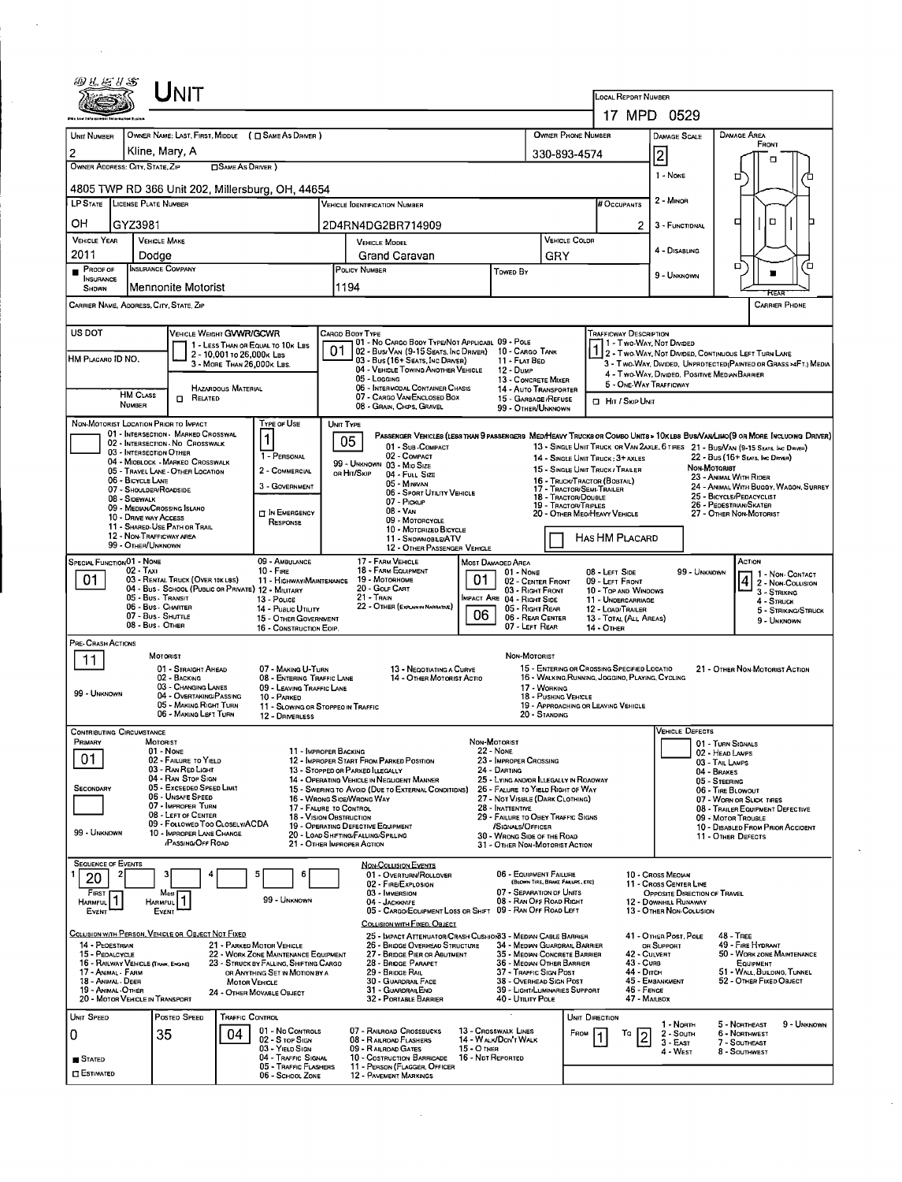| <b>LOCAL REPORT NUMBER</b><br>17 MPD<br>0529<br><b>OWNER PHONE NUMBER</b><br>OWNER NAME: LAST, FIRST, MIDDLE ( C SAME AS DRIVER )<br>DAMAGE AREA<br><b>UNIT NUMBER</b><br>DAMAGE SCALE<br>FRONT<br>Kline, Mary, A<br>$\overline{c}$<br>2<br>330-893-4574<br>п<br>OWNER ADDRESS: CITY, STATE, ZIP<br><b>COME AS DRIVER</b> )<br>1 - None<br>□<br>4805 TWP RD 366 Unit 202, Millersburg, OH, 44654<br>2 - MINOR<br>LP STATE LICENSE PLATE NUMBER<br><b>HOCCUPANTS</b><br><b>VEHICLE IDENTIFICATION NUMBER</b><br>□<br>□<br>OН<br>GYZ3981<br>2D4RN4DG2BR714909<br>3 - FUNCTIDNAL<br>2<br><b>VEHICLE YEAR</b><br><b>VEHICLE COLDR</b><br><b>VEHICLE MAKE</b><br><b>VEHICLE MODEL</b><br>4 - DISABLING<br>2011<br>Grand Caravan<br>GRY<br>Dodge<br>о<br>ם<br>INSURANCE COMPANY<br>PROOF OF<br>POLICY NUMBER<br>Towed By<br>9 - Unknown<br><b>INSURANCE</b><br>1194<br>Mennonite Motorist<br><b>SHOWN</b><br>CARRIER NAME, ADDRESS, CITY, STATE, ZIP<br><b>CARRIER PHONE</b><br>US DOT<br><b>VEHICLE WEIGHT GVWR/GCWR</b><br>TRAFFICWAY DESCRIPTION<br>Cargo Body Type<br>01 - No CARGO BODY TYPE/NOT APPLICABL 09 - POLE<br>11 - Two Way, Not Divided<br>1 - LESS THAN OR EQUAL TO 10K LBS<br>01<br>02 - Bus/Van (9-15 Seats, Inc Driver)<br>10 - CARGO TANK<br>2 - Two-WAY, NOT DIVIDED, CONTINUOUS LEFT TURN LANE<br>2 - 10,001 To 26,000 K LBS<br>HM PLACARO ID NO.<br>03 - Bus (16+ Seats, Inc Driver)<br>11 - Flat Bed<br>3 - Two-WAY, DIVIDED, UNPRDTECTED(PAINTED OR GRASS >4FT.) MEDIA<br>3 - MORE THAN 26,000K LBS.<br>04 - VEHICLE TOWING ANOTHER VEHICLE<br>12 - Dump<br>4 - Two WAY, DIVIDED, POSITIVE MEDIAN BARRIER<br>05 - Locging<br>13 - CONCRETE MIXER<br>5 - ONE-WAY TRAFFICWAY<br>06 - INTERMODAL CONTAINER CHASIS<br><b>HAZARDOUS MATERIAL</b><br>14 - AUTO TRANSPORTER<br><b>HM CLASS</b><br>07 - CARGO VAN ENCLOSED BOX<br>RELATED<br>0<br>15 - GARBAGE / REFUSE<br><b>FT</b> Hit / Skip Unit<br><b>NUMBER</b><br>08 - GRAIN, CHIPS, GRAVEL<br>99 - OTHER/UNKNOWN<br>NON-MOTORIST LOCATION PRIOR TO IMPACT<br>Type or Use<br>UNIT TYPE<br>01 - INTERSECTION - MARKED CROSSWAL<br>PASSENGER VEHICLES (LESS THAN 9 PASSENGERS MED/HEAVY TRUCKS OR COMBO UNITS > 10K LBS BUS/VAWLIMO (9 OR MORE INCLUDING DRIVER)<br>05<br>02 - INTERSECTION - NO CROSSWALK<br>01 - SUB COMPACT<br>13 - SINGLE UNIT TRUCK OR VAN 2AXLE, 6 TIRES 21 - BUS/VAN (9-15 SEATS, INC DRIVER)<br>03 - INTERSECTION OTHER<br>02 - COMPACT<br>1 - PERSONAL<br>22 - Bus (16+ Sears, Inc Dreven)<br>14 - SINGLE UNIT TRUCK : 3+ AXLES<br>04 - MIOBLOCK - MARKEO CROSSWALK<br>99 - UNKNOWN 03 - MIO SIZE<br>NON-MOTORIST<br>15 - SINGLE UNIT TRUCK / TRALER<br>2 - COMMERCIAL<br>05 - TRAVEL LANE - OTHER LOCATION<br>ов Ніт/Sкір<br>04 - FULL SIZE<br>23 - ANIMAL WITH RIDER<br>06 - BICYCLE LANE<br>16 - TRUCK/TRACTOR (BOBTAIL)<br>05 - Minivan<br>3 - GOVERNMENT<br>24 - ANIMAL WITH BUGGY, WAGON, SURREY<br>17 - TRACTOR/SEMI-TRAILER<br>07 - SHOULDER/ROADSIDE<br>06 - SPORT UTILITY VEHICLE<br>25 - BICYCLE/PEDACYCLIST<br>18 - TRACTOR/DOUBLE<br>08 - Sidewalk<br>07 - Pickup<br>26 - PEDESTRIAN/SKATER<br>19 - TRACTOR/TRIPLES<br>09 - MEDIAN/CROSSING ISLANO<br>$08 - V_{AN}$<br><b>T IN EMERGENCY</b><br>20 - OTHER MED/HEAVY VEHICLE<br>27 - OTHER NON-MOTORIST<br>10 - DRME WAY ACCESS<br>09 - MOTORCYCLE<br>RESPONSE<br>11 - SHARED-USE PATH OR TRAIL<br>10 - MOTORIZED BICYCLE<br>12 - NON-TRAFFICWAY AREA<br>Has HM Placard<br>11 - SNOWMOBILEATV<br>99 - OTHER/UNKNOWN<br>12 - OTHER PASSENGER VEHICLE<br><b>SPECIAL FUNCTIONO1 - NONE</b><br>17 - FARM VEHICLE<br>ACTION<br>09 - AMBULANCE<br>MOST DAMAGED AREA<br>02 - TAXI<br><b>10 - FIRE</b><br>18 - FARM EQUIPMENT<br>$01 - None$<br>08 - LEFT SIDE<br>99 - UNKNOWN<br>1 - Non-CONTACT<br>4 2 - NON-COLLISION<br>01<br>01<br>03 - RENTAL TRUCK (OVER 10KL8S)<br>19 - Мотояноме<br>11 - HIGHWAY/MAINTENANCE<br>02 - CENTER FRONT<br>09 - LEFT FRONT<br>04 - Bus - SCHOOL (PUBLIC OR PRIVATE) 12 - MILITARY<br>20 - GOLF CART<br>03 - RIGHT FRONT<br>10 - TOP AND WINDOWS<br>05 - Bus - Transit<br><b>21 - TRAIN</b><br>MPACT ARE 04 - RIGHT SIDE<br>13 - Pouce<br>11 - UNDERCARRIAGE<br>4 - STRUCK<br>22 - OTHER (EXPLANIN NARRATIVE)<br>06 - Bus - Charter<br>14 - Pusuc UTILITY<br>05 - Right Rear<br>12 - LOAD/TRAILER<br>5 - STRIKING/STRUCK<br>06<br>07 - Bus - SHUTTLE<br>06 - REAR CENTER<br>15 - OTHER GOVERNMENT<br>13 - TOTAL (ALL AREAS)<br>9 - UNKNOWN<br>08 - Bus. OTHER<br>07 - LEFT REAR<br>16 - CONSTRUCTION EOIP.<br>14 - OTHER<br>PRE- CRASH ACTIONS<br><b>MOTORIST</b><br>NON-MOTORIST<br>11<br>15 - ENTERING OR CROSSING SPECIFIED LOCATIO<br>01 - STRAIGHT AHEAD<br>07 - MAKING U-TURN<br>21 - OTHER NON-MOTORIST ACTION<br>13 - NEGOTIATING A CURVE<br>02 - BACKING<br>08 - ENTERING TRAFFIC LANE<br>14 - OTHER MOTORIST ACTIO<br>16 - WALKING RUNNING, JOGGINO, PLAYING, CYCLING<br>03 - CHANGING LANES<br>09 - LEAVING TRAFFIC LANE<br>17 - WORKING<br>99 - UNKNOWN<br>04 - OVERTAKING/PASSING<br>18 - PUSHING VEHICLE<br>10 - PARKED<br>05 - MAKING RIGHT TURN<br>19 - APPROACHING OR LEAVING VEHICLE<br>11 - SLOWING OR STOPPEO IN TRAFFIC<br>06 - MAKING LEFT TURN<br>20 - STANDING<br>12 - DRIVERLESS<br><b>VEHICLE DEFECTS</b><br><b>CONTRIBUTING CIRCUMSTANCE</b><br>NON-MOTORIST<br>PRIMARY<br>MOTORIST<br>01 - TURN SIGNALS<br>$01 - None$<br>11 - IMPROPER BACKING<br><b>22 - NONE</b><br>02 - HEAD LAMPS<br>01<br>02 - FAILURE TO YIELD<br>12 - IMPROPER START FROM PARKED POSITION<br>23 - IMPROPER CROSSING<br>03 - TAIL LAMPS<br>03 - RAN RED LIGHT<br>24 - DARTING<br>13 - STOPPED OR PARKED LLEGALLY<br>04 - BRAKES<br>04 - RAN STOP SIGN<br>25 - LYING AND/OR LILEGALLY IN ROAOWAY<br>14 - OPERATING VEHICLE IN NEGLIGENT MANNER<br>05 - STEERING<br>05 - Exceepeo Speep Limit<br><b>SECONDARY</b><br>15 - SWERING TO AVOID (DUE TO EXTERNAL CONDITIONS)<br>26 - FALURE TO YIELD RIGHT OF WAY<br>06 - TIRE BLOWOUT<br>06 - UNSAFE SPEED<br>16 - WRONG SIDE/WRONG WAY<br>27 - NOT VISIBLE (DARK CLOTHING)<br>07 - WORN OR SLICK TIRES<br>07 - IMPROPER TURN<br>28 - INATTENTIVE<br>17 - FALURE TO CONTROL<br>08 - TRAILER EQUIPMENT DEFECTIVE<br>08 - LEFT OF CENTER<br>18 - VISION OBSTRUCTION<br>29 - FAILURE TO OBEY TRAFFIC SIGNS<br>09 - MOTOR TROUBLE<br>09 - FOLLOWED TOO CLOSELY/ACDA<br>19 - OPERATING DEFECTIVE EQUIPMENT<br>/SIGNALS/OFFICER<br>10 - DISABLED FROM PRIOR ACCIDENT<br>99 - UNKNOWN<br>10 - IMPROPER LANE CHANGE<br>20 - LOAD SHIFTING/FALLING/SPILLING<br>30 - WRONG SIDE OF THE ROAD<br>11 - OTHER DEFECTS<br><b>/PASSING/OFF ROAD</b><br>21 - OTHER IMPROPER AGTION<br>31 - OTHER NON-MOTORIST ACTION<br><b>SEQUENCE OF EVENTS</b><br><b>NON-COLLISION EVENTS</b><br>06 - EQUIPMENT FAILURE<br>5<br>6<br>01 - OVERTURN/ROLLOVER<br>10 - Cross Meorn<br>з<br>20<br>(BLOWN TIRE, BRAKE FAILURE, ETC)<br>02 - FIRE/EXPLOSION<br>11 - Cross Center Line<br>07 - SEPARATION OF UNITS<br>03 - IMMERSION<br><b>OPPOSITE DIRECTION OF TRAVEL</b><br>FIRST<br>Most<br>99 - Unknown<br>08 - RAN OFF ROAD RIGHT<br>04 - JACKKNIFE<br>12 - DOWNHILL RUNAWAY<br><b>HARMFUL</b><br><b>HARMFUL</b><br>09 - RAN OFF ROAD LEFT<br>05 - CARGO/EOUIPMENT LOSS OR SHIFT<br>13 - OTHER NON-COLLISION<br>EVENT<br>EVENT<br>COLLISION WITH FIXED, OBJECT<br>COLLISION WITH PERSON, VEHICLE OR OBJECT NOT FIXED<br>41 - OTHER POST, POLE<br><b>48 - TREE</b><br>25 - IMPACT ATTENUATOR/CRASH CUSHION33 - MEDIAN CABLE BARRIER<br>14 - PEOESTRIAN<br>21 - PARKED MOTOR VEHICLE<br>26 - BRIDGE OVERHEAD STRUCTURE<br>34 - MEDIAN GUARDRAIL BARRIER<br>OR SUPPORT<br>49 - FIRE HYDRANT<br>15 - PEOALCYCLE<br>22 - WORK ZONE MAINTENANCE EQUIPMENT<br>27 - BRIDGE PIER OR ABUTMENT<br>35 - MEOIAN CONCRETE BARRIER<br>42 - CULVERT<br>50 - WORK ZONE MAINTENANCE<br>16 - RAILWAY VEHICLE (TRAIN, ENGINE)<br>23 - STRUCK BY FALLING, SHIFTING CARGO<br>28 - BROGE PARAPET<br>36 - MEOIAN OTHER BARRIER<br>43 - Curs<br>EQUIPMENT<br>17 - ANIMAL - FARM<br>29 - BRIDGE RAIL<br>37 - TRAFFIC SIGN POST<br>44 - Опсн<br>51 - WALL, BUILDING, TUNNEL<br>OR ANYTHING SET IN MOTION BY A<br>18 - ANIMAL - DEER<br>30 - GUARDRAIL FACE<br>38 - OVERHEAD SIGN POST<br>45 - Емванкмент<br>52 - OTHER FIXED OBJECT<br><b>MOTOR VEHICLE</b><br>19 - ANIMAL -OTHER<br>31 - GUARDRAILEND<br>39 - LIGHT/LUMINARIES SUPPORT<br>46 - FENCE<br>24 - OTHER MOVABLE OBJECT<br>20 - MOTOR VEHICLE IN TRANSPORT<br>32 - PORTABLE BARRIER<br>40 - UTILITY POLE<br>47 - MAILBOX<br><b>TRAFFIC CONTROL</b><br>UNIT SPEED<br>POSTEO SPEED<br>UNIT DIRECTION<br>5 - NORTHEAST<br>9 - UNKNOWN<br>1 - North<br>01 - No CONTROLS<br>07 - RAILROAD CROSSBUCKS<br>13 - Crosswalk LINES<br>35<br>6 - NORTHWEST<br>0<br>04<br>From<br>2 - South<br>To<br>02 - S TOP SIGN<br>14 - WALK/DON'T WALK<br>08 - RAILROAD FLASHERS<br>$3 - EAST$<br>7 - SOUTHEAST<br>03 - YIELD SIGN<br>15 - 0 THER<br>09 - RAILROAD GATES<br>4 - WEST<br>8 - Southwest<br>04 - TRAFFIC SIGNAL<br>16 - Not Reported<br>10 - Costruction Barricade |               | UNIT |  |  |  |  |  |  |  |  |  |  |  |
|----------------------------------------------------------------------------------------------------------------------------------------------------------------------------------------------------------------------------------------------------------------------------------------------------------------------------------------------------------------------------------------------------------------------------------------------------------------------------------------------------------------------------------------------------------------------------------------------------------------------------------------------------------------------------------------------------------------------------------------------------------------------------------------------------------------------------------------------------------------------------------------------------------------------------------------------------------------------------------------------------------------------------------------------------------------------------------------------------------------------------------------------------------------------------------------------------------------------------------------------------------------------------------------------------------------------------------------------------------------------------------------------------------------------------------------------------------------------------------------------------------------------------------------------------------------------------------------------------------------------------------------------------------------------------------------------------------------------------------------------------------------------------------------------------------------------------------------------------------------------------------------------------------------------------------------------------------------------------------------------------------------------------------------------------------------------------------------------------------------------------------------------------------------------------------------------------------------------------------------------------------------------------------------------------------------------------------------------------------------------------------------------------------------------------------------------------------------------------------------------------------------------------------------------------------------------------------------------------------------------------------------------------------------------------------------------------------------------------------------------------------------------------------------------------------------------------------------------------------------------------------------------------------------------------------------------------------------------------------------------------------------------------------------------------------------------------------------------------------------------------------------------------------------------------------------------------------------------------------------------------------------------------------------------------------------------------------------------------------------------------------------------------------------------------------------------------------------------------------------------------------------------------------------------------------------------------------------------------------------------------------------------------------------------------------------------------------------------------------------------------------------------------------------------------------------------------------------------------------------------------------------------------------------------------------------------------------------------------------------------------------------------------------------------------------------------------------------------------------------------------------------------------------------------------------------------------------------------------------------------------------------------------------------------------------------------------------------------------------------------------------------------------------------------------------------------------------------------------------------------------------------------------------------------------------------------------------------------------------------------------------------------------------------------------------------------------------------------------------------------------------------------------------------------------------------------------------------------------------------------------------------------------------------------------------------------------------------------------------------------------------------------------------------------------------------------------------------------------------------------------------------------------------------------------------------------------------------------------------------------------------------------------------------------------------------------------------------------------------------------------------------------------------------------------------------------------------------------------------------------------------------------------------------------------------------------------------------------------------------------------------------------------------------------------------------------------------------------------------------------------------------------------------------------------------------------------------------------------------------------------------------------------------------------------------------------------------------------------------------------------------------------------------------------------------------------------------------------------------------------------------------------------------------------------------------------------------------------------------------------------------------------------------------------------------------------------------------------------------------------------------------------------------------------------------------------------------------------------------------------------------------------------------------------------------------------------------------------------------------------------------------------------------------------------------------------------------------------------------------------------------------------------------------------------------------------------------------------------------------------------------------------------------------------------------------------------------------------------------------------------------------------------------------------------------------------------------------------------------------------------------------------------------------------------------------------------------------------------------------------------------------------------------------------------------------------------------------------------------------------------------------------------------------------------------------------------------------------------------------------------------------------------------------------------------------------------------------------------------------------------------------------------------------------------------------------------------------------------------------------------------------------------------------------------------------------------------------------------------------------------------------------------------------------------------------------------------------------------------------------------------------------------------------------------------------------------------------------------------------------------------------------------------------------------------------------------------------------------------------------------------------------------------------------------------------------------------------------------------------------------------------------------------------------------------------------------------------------------------------------------------------------------------------------------------------------------------------------------------------------------------------------------------------------------------------------------------------------------------------------------------------------------------------------------------------------------------------------------------------------------------------------------------------------------------------------------------------------------------------|---------------|------|--|--|--|--|--|--|--|--|--|--|--|
|                                                                                                                                                                                                                                                                                                                                                                                                                                                                                                                                                                                                                                                                                                                                                                                                                                                                                                                                                                                                                                                                                                                                                                                                                                                                                                                                                                                                                                                                                                                                                                                                                                                                                                                                                                                                                                                                                                                                                                                                                                                                                                                                                                                                                                                                                                                                                                                                                                                                                                                                                                                                                                                                                                                                                                                                                                                                                                                                                                                                                                                                                                                                                                                                                                                                                                                                                                                                                                                                                                                                                                                                                                                                                                                                                                                                                                                                                                                                                                                                                                                                                                                                                                                                                                                                                                                                                                                                                                                                                                                                                                                                                                                                                                                                                                                                                                                                                                                                                                                                                                                                                                                                                                                                                                                                                                                                                                                                                                                                                                                                                                                                                                                                                                                                                                                                                                                                                                                                                                                                                                                                                                                                                                                                                                                                                                                                                                                                                                                                                                                                                                                                                                                                                                                                                                                                                                                                                                                                                                                                                                                                                                                                                                                                                                                                                                                                                                                                                                                                                                                                                                                                                                                                                                                                                                                                                                                                                                                                                                                                                                                                                                                                                                                                                                                                                                                                                                                                                                                                                                                                                                                                                                                                                                                                                                                                                                                                                                                                                                                        |               |      |  |  |  |  |  |  |  |  |  |  |  |
|                                                                                                                                                                                                                                                                                                                                                                                                                                                                                                                                                                                                                                                                                                                                                                                                                                                                                                                                                                                                                                                                                                                                                                                                                                                                                                                                                                                                                                                                                                                                                                                                                                                                                                                                                                                                                                                                                                                                                                                                                                                                                                                                                                                                                                                                                                                                                                                                                                                                                                                                                                                                                                                                                                                                                                                                                                                                                                                                                                                                                                                                                                                                                                                                                                                                                                                                                                                                                                                                                                                                                                                                                                                                                                                                                                                                                                                                                                                                                                                                                                                                                                                                                                                                                                                                                                                                                                                                                                                                                                                                                                                                                                                                                                                                                                                                                                                                                                                                                                                                                                                                                                                                                                                                                                                                                                                                                                                                                                                                                                                                                                                                                                                                                                                                                                                                                                                                                                                                                                                                                                                                                                                                                                                                                                                                                                                                                                                                                                                                                                                                                                                                                                                                                                                                                                                                                                                                                                                                                                                                                                                                                                                                                                                                                                                                                                                                                                                                                                                                                                                                                                                                                                                                                                                                                                                                                                                                                                                                                                                                                                                                                                                                                                                                                                                                                                                                                                                                                                                                                                                                                                                                                                                                                                                                                                                                                                                                                                                                                                                        |               |      |  |  |  |  |  |  |  |  |  |  |  |
|                                                                                                                                                                                                                                                                                                                                                                                                                                                                                                                                                                                                                                                                                                                                                                                                                                                                                                                                                                                                                                                                                                                                                                                                                                                                                                                                                                                                                                                                                                                                                                                                                                                                                                                                                                                                                                                                                                                                                                                                                                                                                                                                                                                                                                                                                                                                                                                                                                                                                                                                                                                                                                                                                                                                                                                                                                                                                                                                                                                                                                                                                                                                                                                                                                                                                                                                                                                                                                                                                                                                                                                                                                                                                                                                                                                                                                                                                                                                                                                                                                                                                                                                                                                                                                                                                                                                                                                                                                                                                                                                                                                                                                                                                                                                                                                                                                                                                                                                                                                                                                                                                                                                                                                                                                                                                                                                                                                                                                                                                                                                                                                                                                                                                                                                                                                                                                                                                                                                                                                                                                                                                                                                                                                                                                                                                                                                                                                                                                                                                                                                                                                                                                                                                                                                                                                                                                                                                                                                                                                                                                                                                                                                                                                                                                                                                                                                                                                                                                                                                                                                                                                                                                                                                                                                                                                                                                                                                                                                                                                                                                                                                                                                                                                                                                                                                                                                                                                                                                                                                                                                                                                                                                                                                                                                                                                                                                                                                                                                                                                        |               |      |  |  |  |  |  |  |  |  |  |  |  |
|                                                                                                                                                                                                                                                                                                                                                                                                                                                                                                                                                                                                                                                                                                                                                                                                                                                                                                                                                                                                                                                                                                                                                                                                                                                                                                                                                                                                                                                                                                                                                                                                                                                                                                                                                                                                                                                                                                                                                                                                                                                                                                                                                                                                                                                                                                                                                                                                                                                                                                                                                                                                                                                                                                                                                                                                                                                                                                                                                                                                                                                                                                                                                                                                                                                                                                                                                                                                                                                                                                                                                                                                                                                                                                                                                                                                                                                                                                                                                                                                                                                                                                                                                                                                                                                                                                                                                                                                                                                                                                                                                                                                                                                                                                                                                                                                                                                                                                                                                                                                                                                                                                                                                                                                                                                                                                                                                                                                                                                                                                                                                                                                                                                                                                                                                                                                                                                                                                                                                                                                                                                                                                                                                                                                                                                                                                                                                                                                                                                                                                                                                                                                                                                                                                                                                                                                                                                                                                                                                                                                                                                                                                                                                                                                                                                                                                                                                                                                                                                                                                                                                                                                                                                                                                                                                                                                                                                                                                                                                                                                                                                                                                                                                                                                                                                                                                                                                                                                                                                                                                                                                                                                                                                                                                                                                                                                                                                                                                                                                                                        |               |      |  |  |  |  |  |  |  |  |  |  |  |
|                                                                                                                                                                                                                                                                                                                                                                                                                                                                                                                                                                                                                                                                                                                                                                                                                                                                                                                                                                                                                                                                                                                                                                                                                                                                                                                                                                                                                                                                                                                                                                                                                                                                                                                                                                                                                                                                                                                                                                                                                                                                                                                                                                                                                                                                                                                                                                                                                                                                                                                                                                                                                                                                                                                                                                                                                                                                                                                                                                                                                                                                                                                                                                                                                                                                                                                                                                                                                                                                                                                                                                                                                                                                                                                                                                                                                                                                                                                                                                                                                                                                                                                                                                                                                                                                                                                                                                                                                                                                                                                                                                                                                                                                                                                                                                                                                                                                                                                                                                                                                                                                                                                                                                                                                                                                                                                                                                                                                                                                                                                                                                                                                                                                                                                                                                                                                                                                                                                                                                                                                                                                                                                                                                                                                                                                                                                                                                                                                                                                                                                                                                                                                                                                                                                                                                                                                                                                                                                                                                                                                                                                                                                                                                                                                                                                                                                                                                                                                                                                                                                                                                                                                                                                                                                                                                                                                                                                                                                                                                                                                                                                                                                                                                                                                                                                                                                                                                                                                                                                                                                                                                                                                                                                                                                                                                                                                                                                                                                                                                                        |               |      |  |  |  |  |  |  |  |  |  |  |  |
|                                                                                                                                                                                                                                                                                                                                                                                                                                                                                                                                                                                                                                                                                                                                                                                                                                                                                                                                                                                                                                                                                                                                                                                                                                                                                                                                                                                                                                                                                                                                                                                                                                                                                                                                                                                                                                                                                                                                                                                                                                                                                                                                                                                                                                                                                                                                                                                                                                                                                                                                                                                                                                                                                                                                                                                                                                                                                                                                                                                                                                                                                                                                                                                                                                                                                                                                                                                                                                                                                                                                                                                                                                                                                                                                                                                                                                                                                                                                                                                                                                                                                                                                                                                                                                                                                                                                                                                                                                                                                                                                                                                                                                                                                                                                                                                                                                                                                                                                                                                                                                                                                                                                                                                                                                                                                                                                                                                                                                                                                                                                                                                                                                                                                                                                                                                                                                                                                                                                                                                                                                                                                                                                                                                                                                                                                                                                                                                                                                                                                                                                                                                                                                                                                                                                                                                                                                                                                                                                                                                                                                                                                                                                                                                                                                                                                                                                                                                                                                                                                                                                                                                                                                                                                                                                                                                                                                                                                                                                                                                                                                                                                                                                                                                                                                                                                                                                                                                                                                                                                                                                                                                                                                                                                                                                                                                                                                                                                                                                                                                        |               |      |  |  |  |  |  |  |  |  |  |  |  |
|                                                                                                                                                                                                                                                                                                                                                                                                                                                                                                                                                                                                                                                                                                                                                                                                                                                                                                                                                                                                                                                                                                                                                                                                                                                                                                                                                                                                                                                                                                                                                                                                                                                                                                                                                                                                                                                                                                                                                                                                                                                                                                                                                                                                                                                                                                                                                                                                                                                                                                                                                                                                                                                                                                                                                                                                                                                                                                                                                                                                                                                                                                                                                                                                                                                                                                                                                                                                                                                                                                                                                                                                                                                                                                                                                                                                                                                                                                                                                                                                                                                                                                                                                                                                                                                                                                                                                                                                                                                                                                                                                                                                                                                                                                                                                                                                                                                                                                                                                                                                                                                                                                                                                                                                                                                                                                                                                                                                                                                                                                                                                                                                                                                                                                                                                                                                                                                                                                                                                                                                                                                                                                                                                                                                                                                                                                                                                                                                                                                                                                                                                                                                                                                                                                                                                                                                                                                                                                                                                                                                                                                                                                                                                                                                                                                                                                                                                                                                                                                                                                                                                                                                                                                                                                                                                                                                                                                                                                                                                                                                                                                                                                                                                                                                                                                                                                                                                                                                                                                                                                                                                                                                                                                                                                                                                                                                                                                                                                                                                                                        |               |      |  |  |  |  |  |  |  |  |  |  |  |
|                                                                                                                                                                                                                                                                                                                                                                                                                                                                                                                                                                                                                                                                                                                                                                                                                                                                                                                                                                                                                                                                                                                                                                                                                                                                                                                                                                                                                                                                                                                                                                                                                                                                                                                                                                                                                                                                                                                                                                                                                                                                                                                                                                                                                                                                                                                                                                                                                                                                                                                                                                                                                                                                                                                                                                                                                                                                                                                                                                                                                                                                                                                                                                                                                                                                                                                                                                                                                                                                                                                                                                                                                                                                                                                                                                                                                                                                                                                                                                                                                                                                                                                                                                                                                                                                                                                                                                                                                                                                                                                                                                                                                                                                                                                                                                                                                                                                                                                                                                                                                                                                                                                                                                                                                                                                                                                                                                                                                                                                                                                                                                                                                                                                                                                                                                                                                                                                                                                                                                                                                                                                                                                                                                                                                                                                                                                                                                                                                                                                                                                                                                                                                                                                                                                                                                                                                                                                                                                                                                                                                                                                                                                                                                                                                                                                                                                                                                                                                                                                                                                                                                                                                                                                                                                                                                                                                                                                                                                                                                                                                                                                                                                                                                                                                                                                                                                                                                                                                                                                                                                                                                                                                                                                                                                                                                                                                                                                                                                                                                                        |               |      |  |  |  |  |  |  |  |  |  |  |  |
|                                                                                                                                                                                                                                                                                                                                                                                                                                                                                                                                                                                                                                                                                                                                                                                                                                                                                                                                                                                                                                                                                                                                                                                                                                                                                                                                                                                                                                                                                                                                                                                                                                                                                                                                                                                                                                                                                                                                                                                                                                                                                                                                                                                                                                                                                                                                                                                                                                                                                                                                                                                                                                                                                                                                                                                                                                                                                                                                                                                                                                                                                                                                                                                                                                                                                                                                                                                                                                                                                                                                                                                                                                                                                                                                                                                                                                                                                                                                                                                                                                                                                                                                                                                                                                                                                                                                                                                                                                                                                                                                                                                                                                                                                                                                                                                                                                                                                                                                                                                                                                                                                                                                                                                                                                                                                                                                                                                                                                                                                                                                                                                                                                                                                                                                                                                                                                                                                                                                                                                                                                                                                                                                                                                                                                                                                                                                                                                                                                                                                                                                                                                                                                                                                                                                                                                                                                                                                                                                                                                                                                                                                                                                                                                                                                                                                                                                                                                                                                                                                                                                                                                                                                                                                                                                                                                                                                                                                                                                                                                                                                                                                                                                                                                                                                                                                                                                                                                                                                                                                                                                                                                                                                                                                                                                                                                                                                                                                                                                                                                        |               |      |  |  |  |  |  |  |  |  |  |  |  |
|                                                                                                                                                                                                                                                                                                                                                                                                                                                                                                                                                                                                                                                                                                                                                                                                                                                                                                                                                                                                                                                                                                                                                                                                                                                                                                                                                                                                                                                                                                                                                                                                                                                                                                                                                                                                                                                                                                                                                                                                                                                                                                                                                                                                                                                                                                                                                                                                                                                                                                                                                                                                                                                                                                                                                                                                                                                                                                                                                                                                                                                                                                                                                                                                                                                                                                                                                                                                                                                                                                                                                                                                                                                                                                                                                                                                                                                                                                                                                                                                                                                                                                                                                                                                                                                                                                                                                                                                                                                                                                                                                                                                                                                                                                                                                                                                                                                                                                                                                                                                                                                                                                                                                                                                                                                                                                                                                                                                                                                                                                                                                                                                                                                                                                                                                                                                                                                                                                                                                                                                                                                                                                                                                                                                                                                                                                                                                                                                                                                                                                                                                                                                                                                                                                                                                                                                                                                                                                                                                                                                                                                                                                                                                                                                                                                                                                                                                                                                                                                                                                                                                                                                                                                                                                                                                                                                                                                                                                                                                                                                                                                                                                                                                                                                                                                                                                                                                                                                                                                                                                                                                                                                                                                                                                                                                                                                                                                                                                                                                                                        |               |      |  |  |  |  |  |  |  |  |  |  |  |
|                                                                                                                                                                                                                                                                                                                                                                                                                                                                                                                                                                                                                                                                                                                                                                                                                                                                                                                                                                                                                                                                                                                                                                                                                                                                                                                                                                                                                                                                                                                                                                                                                                                                                                                                                                                                                                                                                                                                                                                                                                                                                                                                                                                                                                                                                                                                                                                                                                                                                                                                                                                                                                                                                                                                                                                                                                                                                                                                                                                                                                                                                                                                                                                                                                                                                                                                                                                                                                                                                                                                                                                                                                                                                                                                                                                                                                                                                                                                                                                                                                                                                                                                                                                                                                                                                                                                                                                                                                                                                                                                                                                                                                                                                                                                                                                                                                                                                                                                                                                                                                                                                                                                                                                                                                                                                                                                                                                                                                                                                                                                                                                                                                                                                                                                                                                                                                                                                                                                                                                                                                                                                                                                                                                                                                                                                                                                                                                                                                                                                                                                                                                                                                                                                                                                                                                                                                                                                                                                                                                                                                                                                                                                                                                                                                                                                                                                                                                                                                                                                                                                                                                                                                                                                                                                                                                                                                                                                                                                                                                                                                                                                                                                                                                                                                                                                                                                                                                                                                                                                                                                                                                                                                                                                                                                                                                                                                                                                                                                                                                        |               |      |  |  |  |  |  |  |  |  |  |  |  |
|                                                                                                                                                                                                                                                                                                                                                                                                                                                                                                                                                                                                                                                                                                                                                                                                                                                                                                                                                                                                                                                                                                                                                                                                                                                                                                                                                                                                                                                                                                                                                                                                                                                                                                                                                                                                                                                                                                                                                                                                                                                                                                                                                                                                                                                                                                                                                                                                                                                                                                                                                                                                                                                                                                                                                                                                                                                                                                                                                                                                                                                                                                                                                                                                                                                                                                                                                                                                                                                                                                                                                                                                                                                                                                                                                                                                                                                                                                                                                                                                                                                                                                                                                                                                                                                                                                                                                                                                                                                                                                                                                                                                                                                                                                                                                                                                                                                                                                                                                                                                                                                                                                                                                                                                                                                                                                                                                                                                                                                                                                                                                                                                                                                                                                                                                                                                                                                                                                                                                                                                                                                                                                                                                                                                                                                                                                                                                                                                                                                                                                                                                                                                                                                                                                                                                                                                                                                                                                                                                                                                                                                                                                                                                                                                                                                                                                                                                                                                                                                                                                                                                                                                                                                                                                                                                                                                                                                                                                                                                                                                                                                                                                                                                                                                                                                                                                                                                                                                                                                                                                                                                                                                                                                                                                                                                                                                                                                                                                                                                                                        |               |      |  |  |  |  |  |  |  |  |  |  |  |
|                                                                                                                                                                                                                                                                                                                                                                                                                                                                                                                                                                                                                                                                                                                                                                                                                                                                                                                                                                                                                                                                                                                                                                                                                                                                                                                                                                                                                                                                                                                                                                                                                                                                                                                                                                                                                                                                                                                                                                                                                                                                                                                                                                                                                                                                                                                                                                                                                                                                                                                                                                                                                                                                                                                                                                                                                                                                                                                                                                                                                                                                                                                                                                                                                                                                                                                                                                                                                                                                                                                                                                                                                                                                                                                                                                                                                                                                                                                                                                                                                                                                                                                                                                                                                                                                                                                                                                                                                                                                                                                                                                                                                                                                                                                                                                                                                                                                                                                                                                                                                                                                                                                                                                                                                                                                                                                                                                                                                                                                                                                                                                                                                                                                                                                                                                                                                                                                                                                                                                                                                                                                                                                                                                                                                                                                                                                                                                                                                                                                                                                                                                                                                                                                                                                                                                                                                                                                                                                                                                                                                                                                                                                                                                                                                                                                                                                                                                                                                                                                                                                                                                                                                                                                                                                                                                                                                                                                                                                                                                                                                                                                                                                                                                                                                                                                                                                                                                                                                                                                                                                                                                                                                                                                                                                                                                                                                                                                                                                                                                                        |               |      |  |  |  |  |  |  |  |  |  |  |  |
|                                                                                                                                                                                                                                                                                                                                                                                                                                                                                                                                                                                                                                                                                                                                                                                                                                                                                                                                                                                                                                                                                                                                                                                                                                                                                                                                                                                                                                                                                                                                                                                                                                                                                                                                                                                                                                                                                                                                                                                                                                                                                                                                                                                                                                                                                                                                                                                                                                                                                                                                                                                                                                                                                                                                                                                                                                                                                                                                                                                                                                                                                                                                                                                                                                                                                                                                                                                                                                                                                                                                                                                                                                                                                                                                                                                                                                                                                                                                                                                                                                                                                                                                                                                                                                                                                                                                                                                                                                                                                                                                                                                                                                                                                                                                                                                                                                                                                                                                                                                                                                                                                                                                                                                                                                                                                                                                                                                                                                                                                                                                                                                                                                                                                                                                                                                                                                                                                                                                                                                                                                                                                                                                                                                                                                                                                                                                                                                                                                                                                                                                                                                                                                                                                                                                                                                                                                                                                                                                                                                                                                                                                                                                                                                                                                                                                                                                                                                                                                                                                                                                                                                                                                                                                                                                                                                                                                                                                                                                                                                                                                                                                                                                                                                                                                                                                                                                                                                                                                                                                                                                                                                                                                                                                                                                                                                                                                                                                                                                                                                        |               |      |  |  |  |  |  |  |  |  |  |  |  |
|                                                                                                                                                                                                                                                                                                                                                                                                                                                                                                                                                                                                                                                                                                                                                                                                                                                                                                                                                                                                                                                                                                                                                                                                                                                                                                                                                                                                                                                                                                                                                                                                                                                                                                                                                                                                                                                                                                                                                                                                                                                                                                                                                                                                                                                                                                                                                                                                                                                                                                                                                                                                                                                                                                                                                                                                                                                                                                                                                                                                                                                                                                                                                                                                                                                                                                                                                                                                                                                                                                                                                                                                                                                                                                                                                                                                                                                                                                                                                                                                                                                                                                                                                                                                                                                                                                                                                                                                                                                                                                                                                                                                                                                                                                                                                                                                                                                                                                                                                                                                                                                                                                                                                                                                                                                                                                                                                                                                                                                                                                                                                                                                                                                                                                                                                                                                                                                                                                                                                                                                                                                                                                                                                                                                                                                                                                                                                                                                                                                                                                                                                                                                                                                                                                                                                                                                                                                                                                                                                                                                                                                                                                                                                                                                                                                                                                                                                                                                                                                                                                                                                                                                                                                                                                                                                                                                                                                                                                                                                                                                                                                                                                                                                                                                                                                                                                                                                                                                                                                                                                                                                                                                                                                                                                                                                                                                                                                                                                                                                                                        |               |      |  |  |  |  |  |  |  |  |  |  |  |
|                                                                                                                                                                                                                                                                                                                                                                                                                                                                                                                                                                                                                                                                                                                                                                                                                                                                                                                                                                                                                                                                                                                                                                                                                                                                                                                                                                                                                                                                                                                                                                                                                                                                                                                                                                                                                                                                                                                                                                                                                                                                                                                                                                                                                                                                                                                                                                                                                                                                                                                                                                                                                                                                                                                                                                                                                                                                                                                                                                                                                                                                                                                                                                                                                                                                                                                                                                                                                                                                                                                                                                                                                                                                                                                                                                                                                                                                                                                                                                                                                                                                                                                                                                                                                                                                                                                                                                                                                                                                                                                                                                                                                                                                                                                                                                                                                                                                                                                                                                                                                                                                                                                                                                                                                                                                                                                                                                                                                                                                                                                                                                                                                                                                                                                                                                                                                                                                                                                                                                                                                                                                                                                                                                                                                                                                                                                                                                                                                                                                                                                                                                                                                                                                                                                                                                                                                                                                                                                                                                                                                                                                                                                                                                                                                                                                                                                                                                                                                                                                                                                                                                                                                                                                                                                                                                                                                                                                                                                                                                                                                                                                                                                                                                                                                                                                                                                                                                                                                                                                                                                                                                                                                                                                                                                                                                                                                                                                                                                                                                                        |               |      |  |  |  |  |  |  |  |  |  |  |  |
|                                                                                                                                                                                                                                                                                                                                                                                                                                                                                                                                                                                                                                                                                                                                                                                                                                                                                                                                                                                                                                                                                                                                                                                                                                                                                                                                                                                                                                                                                                                                                                                                                                                                                                                                                                                                                                                                                                                                                                                                                                                                                                                                                                                                                                                                                                                                                                                                                                                                                                                                                                                                                                                                                                                                                                                                                                                                                                                                                                                                                                                                                                                                                                                                                                                                                                                                                                                                                                                                                                                                                                                                                                                                                                                                                                                                                                                                                                                                                                                                                                                                                                                                                                                                                                                                                                                                                                                                                                                                                                                                                                                                                                                                                                                                                                                                                                                                                                                                                                                                                                                                                                                                                                                                                                                                                                                                                                                                                                                                                                                                                                                                                                                                                                                                                                                                                                                                                                                                                                                                                                                                                                                                                                                                                                                                                                                                                                                                                                                                                                                                                                                                                                                                                                                                                                                                                                                                                                                                                                                                                                                                                                                                                                                                                                                                                                                                                                                                                                                                                                                                                                                                                                                                                                                                                                                                                                                                                                                                                                                                                                                                                                                                                                                                                                                                                                                                                                                                                                                                                                                                                                                                                                                                                                                                                                                                                                                                                                                                                                                        |               |      |  |  |  |  |  |  |  |  |  |  |  |
|                                                                                                                                                                                                                                                                                                                                                                                                                                                                                                                                                                                                                                                                                                                                                                                                                                                                                                                                                                                                                                                                                                                                                                                                                                                                                                                                                                                                                                                                                                                                                                                                                                                                                                                                                                                                                                                                                                                                                                                                                                                                                                                                                                                                                                                                                                                                                                                                                                                                                                                                                                                                                                                                                                                                                                                                                                                                                                                                                                                                                                                                                                                                                                                                                                                                                                                                                                                                                                                                                                                                                                                                                                                                                                                                                                                                                                                                                                                                                                                                                                                                                                                                                                                                                                                                                                                                                                                                                                                                                                                                                                                                                                                                                                                                                                                                                                                                                                                                                                                                                                                                                                                                                                                                                                                                                                                                                                                                                                                                                                                                                                                                                                                                                                                                                                                                                                                                                                                                                                                                                                                                                                                                                                                                                                                                                                                                                                                                                                                                                                                                                                                                                                                                                                                                                                                                                                                                                                                                                                                                                                                                                                                                                                                                                                                                                                                                                                                                                                                                                                                                                                                                                                                                                                                                                                                                                                                                                                                                                                                                                                                                                                                                                                                                                                                                                                                                                                                                                                                                                                                                                                                                                                                                                                                                                                                                                                                                                                                                                                                        |               |      |  |  |  |  |  |  |  |  |  |  |  |
|                                                                                                                                                                                                                                                                                                                                                                                                                                                                                                                                                                                                                                                                                                                                                                                                                                                                                                                                                                                                                                                                                                                                                                                                                                                                                                                                                                                                                                                                                                                                                                                                                                                                                                                                                                                                                                                                                                                                                                                                                                                                                                                                                                                                                                                                                                                                                                                                                                                                                                                                                                                                                                                                                                                                                                                                                                                                                                                                                                                                                                                                                                                                                                                                                                                                                                                                                                                                                                                                                                                                                                                                                                                                                                                                                                                                                                                                                                                                                                                                                                                                                                                                                                                                                                                                                                                                                                                                                                                                                                                                                                                                                                                                                                                                                                                                                                                                                                                                                                                                                                                                                                                                                                                                                                                                                                                                                                                                                                                                                                                                                                                                                                                                                                                                                                                                                                                                                                                                                                                                                                                                                                                                                                                                                                                                                                                                                                                                                                                                                                                                                                                                                                                                                                                                                                                                                                                                                                                                                                                                                                                                                                                                                                                                                                                                                                                                                                                                                                                                                                                                                                                                                                                                                                                                                                                                                                                                                                                                                                                                                                                                                                                                                                                                                                                                                                                                                                                                                                                                                                                                                                                                                                                                                                                                                                                                                                                                                                                                                                                        |               |      |  |  |  |  |  |  |  |  |  |  |  |
|                                                                                                                                                                                                                                                                                                                                                                                                                                                                                                                                                                                                                                                                                                                                                                                                                                                                                                                                                                                                                                                                                                                                                                                                                                                                                                                                                                                                                                                                                                                                                                                                                                                                                                                                                                                                                                                                                                                                                                                                                                                                                                                                                                                                                                                                                                                                                                                                                                                                                                                                                                                                                                                                                                                                                                                                                                                                                                                                                                                                                                                                                                                                                                                                                                                                                                                                                                                                                                                                                                                                                                                                                                                                                                                                                                                                                                                                                                                                                                                                                                                                                                                                                                                                                                                                                                                                                                                                                                                                                                                                                                                                                                                                                                                                                                                                                                                                                                                                                                                                                                                                                                                                                                                                                                                                                                                                                                                                                                                                                                                                                                                                                                                                                                                                                                                                                                                                                                                                                                                                                                                                                                                                                                                                                                                                                                                                                                                                                                                                                                                                                                                                                                                                                                                                                                                                                                                                                                                                                                                                                                                                                                                                                                                                                                                                                                                                                                                                                                                                                                                                                                                                                                                                                                                                                                                                                                                                                                                                                                                                                                                                                                                                                                                                                                                                                                                                                                                                                                                                                                                                                                                                                                                                                                                                                                                                                                                                                                                                                                                        |               |      |  |  |  |  |  |  |  |  |  |  |  |
|                                                                                                                                                                                                                                                                                                                                                                                                                                                                                                                                                                                                                                                                                                                                                                                                                                                                                                                                                                                                                                                                                                                                                                                                                                                                                                                                                                                                                                                                                                                                                                                                                                                                                                                                                                                                                                                                                                                                                                                                                                                                                                                                                                                                                                                                                                                                                                                                                                                                                                                                                                                                                                                                                                                                                                                                                                                                                                                                                                                                                                                                                                                                                                                                                                                                                                                                                                                                                                                                                                                                                                                                                                                                                                                                                                                                                                                                                                                                                                                                                                                                                                                                                                                                                                                                                                                                                                                                                                                                                                                                                                                                                                                                                                                                                                                                                                                                                                                                                                                                                                                                                                                                                                                                                                                                                                                                                                                                                                                                                                                                                                                                                                                                                                                                                                                                                                                                                                                                                                                                                                                                                                                                                                                                                                                                                                                                                                                                                                                                                                                                                                                                                                                                                                                                                                                                                                                                                                                                                                                                                                                                                                                                                                                                                                                                                                                                                                                                                                                                                                                                                                                                                                                                                                                                                                                                                                                                                                                                                                                                                                                                                                                                                                                                                                                                                                                                                                                                                                                                                                                                                                                                                                                                                                                                                                                                                                                                                                                                                                                        |               |      |  |  |  |  |  |  |  |  |  |  |  |
|                                                                                                                                                                                                                                                                                                                                                                                                                                                                                                                                                                                                                                                                                                                                                                                                                                                                                                                                                                                                                                                                                                                                                                                                                                                                                                                                                                                                                                                                                                                                                                                                                                                                                                                                                                                                                                                                                                                                                                                                                                                                                                                                                                                                                                                                                                                                                                                                                                                                                                                                                                                                                                                                                                                                                                                                                                                                                                                                                                                                                                                                                                                                                                                                                                                                                                                                                                                                                                                                                                                                                                                                                                                                                                                                                                                                                                                                                                                                                                                                                                                                                                                                                                                                                                                                                                                                                                                                                                                                                                                                                                                                                                                                                                                                                                                                                                                                                                                                                                                                                                                                                                                                                                                                                                                                                                                                                                                                                                                                                                                                                                                                                                                                                                                                                                                                                                                                                                                                                                                                                                                                                                                                                                                                                                                                                                                                                                                                                                                                                                                                                                                                                                                                                                                                                                                                                                                                                                                                                                                                                                                                                                                                                                                                                                                                                                                                                                                                                                                                                                                                                                                                                                                                                                                                                                                                                                                                                                                                                                                                                                                                                                                                                                                                                                                                                                                                                                                                                                                                                                                                                                                                                                                                                                                                                                                                                                                                                                                                                                                        |               |      |  |  |  |  |  |  |  |  |  |  |  |
|                                                                                                                                                                                                                                                                                                                                                                                                                                                                                                                                                                                                                                                                                                                                                                                                                                                                                                                                                                                                                                                                                                                                                                                                                                                                                                                                                                                                                                                                                                                                                                                                                                                                                                                                                                                                                                                                                                                                                                                                                                                                                                                                                                                                                                                                                                                                                                                                                                                                                                                                                                                                                                                                                                                                                                                                                                                                                                                                                                                                                                                                                                                                                                                                                                                                                                                                                                                                                                                                                                                                                                                                                                                                                                                                                                                                                                                                                                                                                                                                                                                                                                                                                                                                                                                                                                                                                                                                                                                                                                                                                                                                                                                                                                                                                                                                                                                                                                                                                                                                                                                                                                                                                                                                                                                                                                                                                                                                                                                                                                                                                                                                                                                                                                                                                                                                                                                                                                                                                                                                                                                                                                                                                                                                                                                                                                                                                                                                                                                                                                                                                                                                                                                                                                                                                                                                                                                                                                                                                                                                                                                                                                                                                                                                                                                                                                                                                                                                                                                                                                                                                                                                                                                                                                                                                                                                                                                                                                                                                                                                                                                                                                                                                                                                                                                                                                                                                                                                                                                                                                                                                                                                                                                                                                                                                                                                                                                                                                                                                                                        |               |      |  |  |  |  |  |  |  |  |  |  |  |
|                                                                                                                                                                                                                                                                                                                                                                                                                                                                                                                                                                                                                                                                                                                                                                                                                                                                                                                                                                                                                                                                                                                                                                                                                                                                                                                                                                                                                                                                                                                                                                                                                                                                                                                                                                                                                                                                                                                                                                                                                                                                                                                                                                                                                                                                                                                                                                                                                                                                                                                                                                                                                                                                                                                                                                                                                                                                                                                                                                                                                                                                                                                                                                                                                                                                                                                                                                                                                                                                                                                                                                                                                                                                                                                                                                                                                                                                                                                                                                                                                                                                                                                                                                                                                                                                                                                                                                                                                                                                                                                                                                                                                                                                                                                                                                                                                                                                                                                                                                                                                                                                                                                                                                                                                                                                                                                                                                                                                                                                                                                                                                                                                                                                                                                                                                                                                                                                                                                                                                                                                                                                                                                                                                                                                                                                                                                                                                                                                                                                                                                                                                                                                                                                                                                                                                                                                                                                                                                                                                                                                                                                                                                                                                                                                                                                                                                                                                                                                                                                                                                                                                                                                                                                                                                                                                                                                                                                                                                                                                                                                                                                                                                                                                                                                                                                                                                                                                                                                                                                                                                                                                                                                                                                                                                                                                                                                                                                                                                                                                                        |               |      |  |  |  |  |  |  |  |  |  |  |  |
|                                                                                                                                                                                                                                                                                                                                                                                                                                                                                                                                                                                                                                                                                                                                                                                                                                                                                                                                                                                                                                                                                                                                                                                                                                                                                                                                                                                                                                                                                                                                                                                                                                                                                                                                                                                                                                                                                                                                                                                                                                                                                                                                                                                                                                                                                                                                                                                                                                                                                                                                                                                                                                                                                                                                                                                                                                                                                                                                                                                                                                                                                                                                                                                                                                                                                                                                                                                                                                                                                                                                                                                                                                                                                                                                                                                                                                                                                                                                                                                                                                                                                                                                                                                                                                                                                                                                                                                                                                                                                                                                                                                                                                                                                                                                                                                                                                                                                                                                                                                                                                                                                                                                                                                                                                                                                                                                                                                                                                                                                                                                                                                                                                                                                                                                                                                                                                                                                                                                                                                                                                                                                                                                                                                                                                                                                                                                                                                                                                                                                                                                                                                                                                                                                                                                                                                                                                                                                                                                                                                                                                                                                                                                                                                                                                                                                                                                                                                                                                                                                                                                                                                                                                                                                                                                                                                                                                                                                                                                                                                                                                                                                                                                                                                                                                                                                                                                                                                                                                                                                                                                                                                                                                                                                                                                                                                                                                                                                                                                                                                        |               |      |  |  |  |  |  |  |  |  |  |  |  |
|                                                                                                                                                                                                                                                                                                                                                                                                                                                                                                                                                                                                                                                                                                                                                                                                                                                                                                                                                                                                                                                                                                                                                                                                                                                                                                                                                                                                                                                                                                                                                                                                                                                                                                                                                                                                                                                                                                                                                                                                                                                                                                                                                                                                                                                                                                                                                                                                                                                                                                                                                                                                                                                                                                                                                                                                                                                                                                                                                                                                                                                                                                                                                                                                                                                                                                                                                                                                                                                                                                                                                                                                                                                                                                                                                                                                                                                                                                                                                                                                                                                                                                                                                                                                                                                                                                                                                                                                                                                                                                                                                                                                                                                                                                                                                                                                                                                                                                                                                                                                                                                                                                                                                                                                                                                                                                                                                                                                                                                                                                                                                                                                                                                                                                                                                                                                                                                                                                                                                                                                                                                                                                                                                                                                                                                                                                                                                                                                                                                                                                                                                                                                                                                                                                                                                                                                                                                                                                                                                                                                                                                                                                                                                                                                                                                                                                                                                                                                                                                                                                                                                                                                                                                                                                                                                                                                                                                                                                                                                                                                                                                                                                                                                                                                                                                                                                                                                                                                                                                                                                                                                                                                                                                                                                                                                                                                                                                                                                                                                                                        |               |      |  |  |  |  |  |  |  |  |  |  |  |
|                                                                                                                                                                                                                                                                                                                                                                                                                                                                                                                                                                                                                                                                                                                                                                                                                                                                                                                                                                                                                                                                                                                                                                                                                                                                                                                                                                                                                                                                                                                                                                                                                                                                                                                                                                                                                                                                                                                                                                                                                                                                                                                                                                                                                                                                                                                                                                                                                                                                                                                                                                                                                                                                                                                                                                                                                                                                                                                                                                                                                                                                                                                                                                                                                                                                                                                                                                                                                                                                                                                                                                                                                                                                                                                                                                                                                                                                                                                                                                                                                                                                                                                                                                                                                                                                                                                                                                                                                                                                                                                                                                                                                                                                                                                                                                                                                                                                                                                                                                                                                                                                                                                                                                                                                                                                                                                                                                                                                                                                                                                                                                                                                                                                                                                                                                                                                                                                                                                                                                                                                                                                                                                                                                                                                                                                                                                                                                                                                                                                                                                                                                                                                                                                                                                                                                                                                                                                                                                                                                                                                                                                                                                                                                                                                                                                                                                                                                                                                                                                                                                                                                                                                                                                                                                                                                                                                                                                                                                                                                                                                                                                                                                                                                                                                                                                                                                                                                                                                                                                                                                                                                                                                                                                                                                                                                                                                                                                                                                                                                                        |               |      |  |  |  |  |  |  |  |  |  |  |  |
|                                                                                                                                                                                                                                                                                                                                                                                                                                                                                                                                                                                                                                                                                                                                                                                                                                                                                                                                                                                                                                                                                                                                                                                                                                                                                                                                                                                                                                                                                                                                                                                                                                                                                                                                                                                                                                                                                                                                                                                                                                                                                                                                                                                                                                                                                                                                                                                                                                                                                                                                                                                                                                                                                                                                                                                                                                                                                                                                                                                                                                                                                                                                                                                                                                                                                                                                                                                                                                                                                                                                                                                                                                                                                                                                                                                                                                                                                                                                                                                                                                                                                                                                                                                                                                                                                                                                                                                                                                                                                                                                                                                                                                                                                                                                                                                                                                                                                                                                                                                                                                                                                                                                                                                                                                                                                                                                                                                                                                                                                                                                                                                                                                                                                                                                                                                                                                                                                                                                                                                                                                                                                                                                                                                                                                                                                                                                                                                                                                                                                                                                                                                                                                                                                                                                                                                                                                                                                                                                                                                                                                                                                                                                                                                                                                                                                                                                                                                                                                                                                                                                                                                                                                                                                                                                                                                                                                                                                                                                                                                                                                                                                                                                                                                                                                                                                                                                                                                                                                                                                                                                                                                                                                                                                                                                                                                                                                                                                                                                                                                        |               |      |  |  |  |  |  |  |  |  |  |  |  |
|                                                                                                                                                                                                                                                                                                                                                                                                                                                                                                                                                                                                                                                                                                                                                                                                                                                                                                                                                                                                                                                                                                                                                                                                                                                                                                                                                                                                                                                                                                                                                                                                                                                                                                                                                                                                                                                                                                                                                                                                                                                                                                                                                                                                                                                                                                                                                                                                                                                                                                                                                                                                                                                                                                                                                                                                                                                                                                                                                                                                                                                                                                                                                                                                                                                                                                                                                                                                                                                                                                                                                                                                                                                                                                                                                                                                                                                                                                                                                                                                                                                                                                                                                                                                                                                                                                                                                                                                                                                                                                                                                                                                                                                                                                                                                                                                                                                                                                                                                                                                                                                                                                                                                                                                                                                                                                                                                                                                                                                                                                                                                                                                                                                                                                                                                                                                                                                                                                                                                                                                                                                                                                                                                                                                                                                                                                                                                                                                                                                                                                                                                                                                                                                                                                                                                                                                                                                                                                                                                                                                                                                                                                                                                                                                                                                                                                                                                                                                                                                                                                                                                                                                                                                                                                                                                                                                                                                                                                                                                                                                                                                                                                                                                                                                                                                                                                                                                                                                                                                                                                                                                                                                                                                                                                                                                                                                                                                                                                                                                                                        |               |      |  |  |  |  |  |  |  |  |  |  |  |
|                                                                                                                                                                                                                                                                                                                                                                                                                                                                                                                                                                                                                                                                                                                                                                                                                                                                                                                                                                                                                                                                                                                                                                                                                                                                                                                                                                                                                                                                                                                                                                                                                                                                                                                                                                                                                                                                                                                                                                                                                                                                                                                                                                                                                                                                                                                                                                                                                                                                                                                                                                                                                                                                                                                                                                                                                                                                                                                                                                                                                                                                                                                                                                                                                                                                                                                                                                                                                                                                                                                                                                                                                                                                                                                                                                                                                                                                                                                                                                                                                                                                                                                                                                                                                                                                                                                                                                                                                                                                                                                                                                                                                                                                                                                                                                                                                                                                                                                                                                                                                                                                                                                                                                                                                                                                                                                                                                                                                                                                                                                                                                                                                                                                                                                                                                                                                                                                                                                                                                                                                                                                                                                                                                                                                                                                                                                                                                                                                                                                                                                                                                                                                                                                                                                                                                                                                                                                                                                                                                                                                                                                                                                                                                                                                                                                                                                                                                                                                                                                                                                                                                                                                                                                                                                                                                                                                                                                                                                                                                                                                                                                                                                                                                                                                                                                                                                                                                                                                                                                                                                                                                                                                                                                                                                                                                                                                                                                                                                                                                                        |               |      |  |  |  |  |  |  |  |  |  |  |  |
|                                                                                                                                                                                                                                                                                                                                                                                                                                                                                                                                                                                                                                                                                                                                                                                                                                                                                                                                                                                                                                                                                                                                                                                                                                                                                                                                                                                                                                                                                                                                                                                                                                                                                                                                                                                                                                                                                                                                                                                                                                                                                                                                                                                                                                                                                                                                                                                                                                                                                                                                                                                                                                                                                                                                                                                                                                                                                                                                                                                                                                                                                                                                                                                                                                                                                                                                                                                                                                                                                                                                                                                                                                                                                                                                                                                                                                                                                                                                                                                                                                                                                                                                                                                                                                                                                                                                                                                                                                                                                                                                                                                                                                                                                                                                                                                                                                                                                                                                                                                                                                                                                                                                                                                                                                                                                                                                                                                                                                                                                                                                                                                                                                                                                                                                                                                                                                                                                                                                                                                                                                                                                                                                                                                                                                                                                                                                                                                                                                                                                                                                                                                                                                                                                                                                                                                                                                                                                                                                                                                                                                                                                                                                                                                                                                                                                                                                                                                                                                                                                                                                                                                                                                                                                                                                                                                                                                                                                                                                                                                                                                                                                                                                                                                                                                                                                                                                                                                                                                                                                                                                                                                                                                                                                                                                                                                                                                                                                                                                                                                        |               |      |  |  |  |  |  |  |  |  |  |  |  |
|                                                                                                                                                                                                                                                                                                                                                                                                                                                                                                                                                                                                                                                                                                                                                                                                                                                                                                                                                                                                                                                                                                                                                                                                                                                                                                                                                                                                                                                                                                                                                                                                                                                                                                                                                                                                                                                                                                                                                                                                                                                                                                                                                                                                                                                                                                                                                                                                                                                                                                                                                                                                                                                                                                                                                                                                                                                                                                                                                                                                                                                                                                                                                                                                                                                                                                                                                                                                                                                                                                                                                                                                                                                                                                                                                                                                                                                                                                                                                                                                                                                                                                                                                                                                                                                                                                                                                                                                                                                                                                                                                                                                                                                                                                                                                                                                                                                                                                                                                                                                                                                                                                                                                                                                                                                                                                                                                                                                                                                                                                                                                                                                                                                                                                                                                                                                                                                                                                                                                                                                                                                                                                                                                                                                                                                                                                                                                                                                                                                                                                                                                                                                                                                                                                                                                                                                                                                                                                                                                                                                                                                                                                                                                                                                                                                                                                                                                                                                                                                                                                                                                                                                                                                                                                                                                                                                                                                                                                                                                                                                                                                                                                                                                                                                                                                                                                                                                                                                                                                                                                                                                                                                                                                                                                                                                                                                                                                                                                                                                                                        |               |      |  |  |  |  |  |  |  |  |  |  |  |
|                                                                                                                                                                                                                                                                                                                                                                                                                                                                                                                                                                                                                                                                                                                                                                                                                                                                                                                                                                                                                                                                                                                                                                                                                                                                                                                                                                                                                                                                                                                                                                                                                                                                                                                                                                                                                                                                                                                                                                                                                                                                                                                                                                                                                                                                                                                                                                                                                                                                                                                                                                                                                                                                                                                                                                                                                                                                                                                                                                                                                                                                                                                                                                                                                                                                                                                                                                                                                                                                                                                                                                                                                                                                                                                                                                                                                                                                                                                                                                                                                                                                                                                                                                                                                                                                                                                                                                                                                                                                                                                                                                                                                                                                                                                                                                                                                                                                                                                                                                                                                                                                                                                                                                                                                                                                                                                                                                                                                                                                                                                                                                                                                                                                                                                                                                                                                                                                                                                                                                                                                                                                                                                                                                                                                                                                                                                                                                                                                                                                                                                                                                                                                                                                                                                                                                                                                                                                                                                                                                                                                                                                                                                                                                                                                                                                                                                                                                                                                                                                                                                                                                                                                                                                                                                                                                                                                                                                                                                                                                                                                                                                                                                                                                                                                                                                                                                                                                                                                                                                                                                                                                                                                                                                                                                                                                                                                                                                                                                                                                                        |               |      |  |  |  |  |  |  |  |  |  |  |  |
|                                                                                                                                                                                                                                                                                                                                                                                                                                                                                                                                                                                                                                                                                                                                                                                                                                                                                                                                                                                                                                                                                                                                                                                                                                                                                                                                                                                                                                                                                                                                                                                                                                                                                                                                                                                                                                                                                                                                                                                                                                                                                                                                                                                                                                                                                                                                                                                                                                                                                                                                                                                                                                                                                                                                                                                                                                                                                                                                                                                                                                                                                                                                                                                                                                                                                                                                                                                                                                                                                                                                                                                                                                                                                                                                                                                                                                                                                                                                                                                                                                                                                                                                                                                                                                                                                                                                                                                                                                                                                                                                                                                                                                                                                                                                                                                                                                                                                                                                                                                                                                                                                                                                                                                                                                                                                                                                                                                                                                                                                                                                                                                                                                                                                                                                                                                                                                                                                                                                                                                                                                                                                                                                                                                                                                                                                                                                                                                                                                                                                                                                                                                                                                                                                                                                                                                                                                                                                                                                                                                                                                                                                                                                                                                                                                                                                                                                                                                                                                                                                                                                                                                                                                                                                                                                                                                                                                                                                                                                                                                                                                                                                                                                                                                                                                                                                                                                                                                                                                                                                                                                                                                                                                                                                                                                                                                                                                                                                                                                                                                        |               |      |  |  |  |  |  |  |  |  |  |  |  |
|                                                                                                                                                                                                                                                                                                                                                                                                                                                                                                                                                                                                                                                                                                                                                                                                                                                                                                                                                                                                                                                                                                                                                                                                                                                                                                                                                                                                                                                                                                                                                                                                                                                                                                                                                                                                                                                                                                                                                                                                                                                                                                                                                                                                                                                                                                                                                                                                                                                                                                                                                                                                                                                                                                                                                                                                                                                                                                                                                                                                                                                                                                                                                                                                                                                                                                                                                                                                                                                                                                                                                                                                                                                                                                                                                                                                                                                                                                                                                                                                                                                                                                                                                                                                                                                                                                                                                                                                                                                                                                                                                                                                                                                                                                                                                                                                                                                                                                                                                                                                                                                                                                                                                                                                                                                                                                                                                                                                                                                                                                                                                                                                                                                                                                                                                                                                                                                                                                                                                                                                                                                                                                                                                                                                                                                                                                                                                                                                                                                                                                                                                                                                                                                                                                                                                                                                                                                                                                                                                                                                                                                                                                                                                                                                                                                                                                                                                                                                                                                                                                                                                                                                                                                                                                                                                                                                                                                                                                                                                                                                                                                                                                                                                                                                                                                                                                                                                                                                                                                                                                                                                                                                                                                                                                                                                                                                                                                                                                                                                                                        |               |      |  |  |  |  |  |  |  |  |  |  |  |
|                                                                                                                                                                                                                                                                                                                                                                                                                                                                                                                                                                                                                                                                                                                                                                                                                                                                                                                                                                                                                                                                                                                                                                                                                                                                                                                                                                                                                                                                                                                                                                                                                                                                                                                                                                                                                                                                                                                                                                                                                                                                                                                                                                                                                                                                                                                                                                                                                                                                                                                                                                                                                                                                                                                                                                                                                                                                                                                                                                                                                                                                                                                                                                                                                                                                                                                                                                                                                                                                                                                                                                                                                                                                                                                                                                                                                                                                                                                                                                                                                                                                                                                                                                                                                                                                                                                                                                                                                                                                                                                                                                                                                                                                                                                                                                                                                                                                                                                                                                                                                                                                                                                                                                                                                                                                                                                                                                                                                                                                                                                                                                                                                                                                                                                                                                                                                                                                                                                                                                                                                                                                                                                                                                                                                                                                                                                                                                                                                                                                                                                                                                                                                                                                                                                                                                                                                                                                                                                                                                                                                                                                                                                                                                                                                                                                                                                                                                                                                                                                                                                                                                                                                                                                                                                                                                                                                                                                                                                                                                                                                                                                                                                                                                                                                                                                                                                                                                                                                                                                                                                                                                                                                                                                                                                                                                                                                                                                                                                                                                                        |               |      |  |  |  |  |  |  |  |  |  |  |  |
|                                                                                                                                                                                                                                                                                                                                                                                                                                                                                                                                                                                                                                                                                                                                                                                                                                                                                                                                                                                                                                                                                                                                                                                                                                                                                                                                                                                                                                                                                                                                                                                                                                                                                                                                                                                                                                                                                                                                                                                                                                                                                                                                                                                                                                                                                                                                                                                                                                                                                                                                                                                                                                                                                                                                                                                                                                                                                                                                                                                                                                                                                                                                                                                                                                                                                                                                                                                                                                                                                                                                                                                                                                                                                                                                                                                                                                                                                                                                                                                                                                                                                                                                                                                                                                                                                                                                                                                                                                                                                                                                                                                                                                                                                                                                                                                                                                                                                                                                                                                                                                                                                                                                                                                                                                                                                                                                                                                                                                                                                                                                                                                                                                                                                                                                                                                                                                                                                                                                                                                                                                                                                                                                                                                                                                                                                                                                                                                                                                                                                                                                                                                                                                                                                                                                                                                                                                                                                                                                                                                                                                                                                                                                                                                                                                                                                                                                                                                                                                                                                                                                                                                                                                                                                                                                                                                                                                                                                                                                                                                                                                                                                                                                                                                                                                                                                                                                                                                                                                                                                                                                                                                                                                                                                                                                                                                                                                                                                                                                                                                        |               |      |  |  |  |  |  |  |  |  |  |  |  |
|                                                                                                                                                                                                                                                                                                                                                                                                                                                                                                                                                                                                                                                                                                                                                                                                                                                                                                                                                                                                                                                                                                                                                                                                                                                                                                                                                                                                                                                                                                                                                                                                                                                                                                                                                                                                                                                                                                                                                                                                                                                                                                                                                                                                                                                                                                                                                                                                                                                                                                                                                                                                                                                                                                                                                                                                                                                                                                                                                                                                                                                                                                                                                                                                                                                                                                                                                                                                                                                                                                                                                                                                                                                                                                                                                                                                                                                                                                                                                                                                                                                                                                                                                                                                                                                                                                                                                                                                                                                                                                                                                                                                                                                                                                                                                                                                                                                                                                                                                                                                                                                                                                                                                                                                                                                                                                                                                                                                                                                                                                                                                                                                                                                                                                                                                                                                                                                                                                                                                                                                                                                                                                                                                                                                                                                                                                                                                                                                                                                                                                                                                                                                                                                                                                                                                                                                                                                                                                                                                                                                                                                                                                                                                                                                                                                                                                                                                                                                                                                                                                                                                                                                                                                                                                                                                                                                                                                                                                                                                                                                                                                                                                                                                                                                                                                                                                                                                                                                                                                                                                                                                                                                                                                                                                                                                                                                                                                                                                                                                                                        |               |      |  |  |  |  |  |  |  |  |  |  |  |
|                                                                                                                                                                                                                                                                                                                                                                                                                                                                                                                                                                                                                                                                                                                                                                                                                                                                                                                                                                                                                                                                                                                                                                                                                                                                                                                                                                                                                                                                                                                                                                                                                                                                                                                                                                                                                                                                                                                                                                                                                                                                                                                                                                                                                                                                                                                                                                                                                                                                                                                                                                                                                                                                                                                                                                                                                                                                                                                                                                                                                                                                                                                                                                                                                                                                                                                                                                                                                                                                                                                                                                                                                                                                                                                                                                                                                                                                                                                                                                                                                                                                                                                                                                                                                                                                                                                                                                                                                                                                                                                                                                                                                                                                                                                                                                                                                                                                                                                                                                                                                                                                                                                                                                                                                                                                                                                                                                                                                                                                                                                                                                                                                                                                                                                                                                                                                                                                                                                                                                                                                                                                                                                                                                                                                                                                                                                                                                                                                                                                                                                                                                                                                                                                                                                                                                                                                                                                                                                                                                                                                                                                                                                                                                                                                                                                                                                                                                                                                                                                                                                                                                                                                                                                                                                                                                                                                                                                                                                                                                                                                                                                                                                                                                                                                                                                                                                                                                                                                                                                                                                                                                                                                                                                                                                                                                                                                                                                                                                                                                                        |               |      |  |  |  |  |  |  |  |  |  |  |  |
|                                                                                                                                                                                                                                                                                                                                                                                                                                                                                                                                                                                                                                                                                                                                                                                                                                                                                                                                                                                                                                                                                                                                                                                                                                                                                                                                                                                                                                                                                                                                                                                                                                                                                                                                                                                                                                                                                                                                                                                                                                                                                                                                                                                                                                                                                                                                                                                                                                                                                                                                                                                                                                                                                                                                                                                                                                                                                                                                                                                                                                                                                                                                                                                                                                                                                                                                                                                                                                                                                                                                                                                                                                                                                                                                                                                                                                                                                                                                                                                                                                                                                                                                                                                                                                                                                                                                                                                                                                                                                                                                                                                                                                                                                                                                                                                                                                                                                                                                                                                                                                                                                                                                                                                                                                                                                                                                                                                                                                                                                                                                                                                                                                                                                                                                                                                                                                                                                                                                                                                                                                                                                                                                                                                                                                                                                                                                                                                                                                                                                                                                                                                                                                                                                                                                                                                                                                                                                                                                                                                                                                                                                                                                                                                                                                                                                                                                                                                                                                                                                                                                                                                                                                                                                                                                                                                                                                                                                                                                                                                                                                                                                                                                                                                                                                                                                                                                                                                                                                                                                                                                                                                                                                                                                                                                                                                                                                                                                                                                                                                        |               |      |  |  |  |  |  |  |  |  |  |  |  |
|                                                                                                                                                                                                                                                                                                                                                                                                                                                                                                                                                                                                                                                                                                                                                                                                                                                                                                                                                                                                                                                                                                                                                                                                                                                                                                                                                                                                                                                                                                                                                                                                                                                                                                                                                                                                                                                                                                                                                                                                                                                                                                                                                                                                                                                                                                                                                                                                                                                                                                                                                                                                                                                                                                                                                                                                                                                                                                                                                                                                                                                                                                                                                                                                                                                                                                                                                                                                                                                                                                                                                                                                                                                                                                                                                                                                                                                                                                                                                                                                                                                                                                                                                                                                                                                                                                                                                                                                                                                                                                                                                                                                                                                                                                                                                                                                                                                                                                                                                                                                                                                                                                                                                                                                                                                                                                                                                                                                                                                                                                                                                                                                                                                                                                                                                                                                                                                                                                                                                                                                                                                                                                                                                                                                                                                                                                                                                                                                                                                                                                                                                                                                                                                                                                                                                                                                                                                                                                                                                                                                                                                                                                                                                                                                                                                                                                                                                                                                                                                                                                                                                                                                                                                                                                                                                                                                                                                                                                                                                                                                                                                                                                                                                                                                                                                                                                                                                                                                                                                                                                                                                                                                                                                                                                                                                                                                                                                                                                                                                                                        |               |      |  |  |  |  |  |  |  |  |  |  |  |
|                                                                                                                                                                                                                                                                                                                                                                                                                                                                                                                                                                                                                                                                                                                                                                                                                                                                                                                                                                                                                                                                                                                                                                                                                                                                                                                                                                                                                                                                                                                                                                                                                                                                                                                                                                                                                                                                                                                                                                                                                                                                                                                                                                                                                                                                                                                                                                                                                                                                                                                                                                                                                                                                                                                                                                                                                                                                                                                                                                                                                                                                                                                                                                                                                                                                                                                                                                                                                                                                                                                                                                                                                                                                                                                                                                                                                                                                                                                                                                                                                                                                                                                                                                                                                                                                                                                                                                                                                                                                                                                                                                                                                                                                                                                                                                                                                                                                                                                                                                                                                                                                                                                                                                                                                                                                                                                                                                                                                                                                                                                                                                                                                                                                                                                                                                                                                                                                                                                                                                                                                                                                                                                                                                                                                                                                                                                                                                                                                                                                                                                                                                                                                                                                                                                                                                                                                                                                                                                                                                                                                                                                                                                                                                                                                                                                                                                                                                                                                                                                                                                                                                                                                                                                                                                                                                                                                                                                                                                                                                                                                                                                                                                                                                                                                                                                                                                                                                                                                                                                                                                                                                                                                                                                                                                                                                                                                                                                                                                                                                                        |               |      |  |  |  |  |  |  |  |  |  |  |  |
|                                                                                                                                                                                                                                                                                                                                                                                                                                                                                                                                                                                                                                                                                                                                                                                                                                                                                                                                                                                                                                                                                                                                                                                                                                                                                                                                                                                                                                                                                                                                                                                                                                                                                                                                                                                                                                                                                                                                                                                                                                                                                                                                                                                                                                                                                                                                                                                                                                                                                                                                                                                                                                                                                                                                                                                                                                                                                                                                                                                                                                                                                                                                                                                                                                                                                                                                                                                                                                                                                                                                                                                                                                                                                                                                                                                                                                                                                                                                                                                                                                                                                                                                                                                                                                                                                                                                                                                                                                                                                                                                                                                                                                                                                                                                                                                                                                                                                                                                                                                                                                                                                                                                                                                                                                                                                                                                                                                                                                                                                                                                                                                                                                                                                                                                                                                                                                                                                                                                                                                                                                                                                                                                                                                                                                                                                                                                                                                                                                                                                                                                                                                                                                                                                                                                                                                                                                                                                                                                                                                                                                                                                                                                                                                                                                                                                                                                                                                                                                                                                                                                                                                                                                                                                                                                                                                                                                                                                                                                                                                                                                                                                                                                                                                                                                                                                                                                                                                                                                                                                                                                                                                                                                                                                                                                                                                                                                                                                                                                                                                        |               |      |  |  |  |  |  |  |  |  |  |  |  |
|                                                                                                                                                                                                                                                                                                                                                                                                                                                                                                                                                                                                                                                                                                                                                                                                                                                                                                                                                                                                                                                                                                                                                                                                                                                                                                                                                                                                                                                                                                                                                                                                                                                                                                                                                                                                                                                                                                                                                                                                                                                                                                                                                                                                                                                                                                                                                                                                                                                                                                                                                                                                                                                                                                                                                                                                                                                                                                                                                                                                                                                                                                                                                                                                                                                                                                                                                                                                                                                                                                                                                                                                                                                                                                                                                                                                                                                                                                                                                                                                                                                                                                                                                                                                                                                                                                                                                                                                                                                                                                                                                                                                                                                                                                                                                                                                                                                                                                                                                                                                                                                                                                                                                                                                                                                                                                                                                                                                                                                                                                                                                                                                                                                                                                                                                                                                                                                                                                                                                                                                                                                                                                                                                                                                                                                                                                                                                                                                                                                                                                                                                                                                                                                                                                                                                                                                                                                                                                                                                                                                                                                                                                                                                                                                                                                                                                                                                                                                                                                                                                                                                                                                                                                                                                                                                                                                                                                                                                                                                                                                                                                                                                                                                                                                                                                                                                                                                                                                                                                                                                                                                                                                                                                                                                                                                                                                                                                                                                                                                                                        |               |      |  |  |  |  |  |  |  |  |  |  |  |
|                                                                                                                                                                                                                                                                                                                                                                                                                                                                                                                                                                                                                                                                                                                                                                                                                                                                                                                                                                                                                                                                                                                                                                                                                                                                                                                                                                                                                                                                                                                                                                                                                                                                                                                                                                                                                                                                                                                                                                                                                                                                                                                                                                                                                                                                                                                                                                                                                                                                                                                                                                                                                                                                                                                                                                                                                                                                                                                                                                                                                                                                                                                                                                                                                                                                                                                                                                                                                                                                                                                                                                                                                                                                                                                                                                                                                                                                                                                                                                                                                                                                                                                                                                                                                                                                                                                                                                                                                                                                                                                                                                                                                                                                                                                                                                                                                                                                                                                                                                                                                                                                                                                                                                                                                                                                                                                                                                                                                                                                                                                                                                                                                                                                                                                                                                                                                                                                                                                                                                                                                                                                                                                                                                                                                                                                                                                                                                                                                                                                                                                                                                                                                                                                                                                                                                                                                                                                                                                                                                                                                                                                                                                                                                                                                                                                                                                                                                                                                                                                                                                                                                                                                                                                                                                                                                                                                                                                                                                                                                                                                                                                                                                                                                                                                                                                                                                                                                                                                                                                                                                                                                                                                                                                                                                                                                                                                                                                                                                                                                                        |               |      |  |  |  |  |  |  |  |  |  |  |  |
|                                                                                                                                                                                                                                                                                                                                                                                                                                                                                                                                                                                                                                                                                                                                                                                                                                                                                                                                                                                                                                                                                                                                                                                                                                                                                                                                                                                                                                                                                                                                                                                                                                                                                                                                                                                                                                                                                                                                                                                                                                                                                                                                                                                                                                                                                                                                                                                                                                                                                                                                                                                                                                                                                                                                                                                                                                                                                                                                                                                                                                                                                                                                                                                                                                                                                                                                                                                                                                                                                                                                                                                                                                                                                                                                                                                                                                                                                                                                                                                                                                                                                                                                                                                                                                                                                                                                                                                                                                                                                                                                                                                                                                                                                                                                                                                                                                                                                                                                                                                                                                                                                                                                                                                                                                                                                                                                                                                                                                                                                                                                                                                                                                                                                                                                                                                                                                                                                                                                                                                                                                                                                                                                                                                                                                                                                                                                                                                                                                                                                                                                                                                                                                                                                                                                                                                                                                                                                                                                                                                                                                                                                                                                                                                                                                                                                                                                                                                                                                                                                                                                                                                                                                                                                                                                                                                                                                                                                                                                                                                                                                                                                                                                                                                                                                                                                                                                                                                                                                                                                                                                                                                                                                                                                                                                                                                                                                                                                                                                                                                        |               |      |  |  |  |  |  |  |  |  |  |  |  |
|                                                                                                                                                                                                                                                                                                                                                                                                                                                                                                                                                                                                                                                                                                                                                                                                                                                                                                                                                                                                                                                                                                                                                                                                                                                                                                                                                                                                                                                                                                                                                                                                                                                                                                                                                                                                                                                                                                                                                                                                                                                                                                                                                                                                                                                                                                                                                                                                                                                                                                                                                                                                                                                                                                                                                                                                                                                                                                                                                                                                                                                                                                                                                                                                                                                                                                                                                                                                                                                                                                                                                                                                                                                                                                                                                                                                                                                                                                                                                                                                                                                                                                                                                                                                                                                                                                                                                                                                                                                                                                                                                                                                                                                                                                                                                                                                                                                                                                                                                                                                                                                                                                                                                                                                                                                                                                                                                                                                                                                                                                                                                                                                                                                                                                                                                                                                                                                                                                                                                                                                                                                                                                                                                                                                                                                                                                                                                                                                                                                                                                                                                                                                                                                                                                                                                                                                                                                                                                                                                                                                                                                                                                                                                                                                                                                                                                                                                                                                                                                                                                                                                                                                                                                                                                                                                                                                                                                                                                                                                                                                                                                                                                                                                                                                                                                                                                                                                                                                                                                                                                                                                                                                                                                                                                                                                                                                                                                                                                                                                                                        |               |      |  |  |  |  |  |  |  |  |  |  |  |
| 05 - TRAFFIC FLASHERS<br>11 - PERSON (FLAGGER, OFFICER<br><b>C</b> ESTIMATED<br>06 - SCHOOL ZONE<br><b>12 - PAVEMENT MARKINGS</b>                                                                                                                                                                                                                                                                                                                                                                                                                                                                                                                                                                                                                                                                                                                                                                                                                                                                                                                                                                                                                                                                                                                                                                                                                                                                                                                                                                                                                                                                                                                                                                                                                                                                                                                                                                                                                                                                                                                                                                                                                                                                                                                                                                                                                                                                                                                                                                                                                                                                                                                                                                                                                                                                                                                                                                                                                                                                                                                                                                                                                                                                                                                                                                                                                                                                                                                                                                                                                                                                                                                                                                                                                                                                                                                                                                                                                                                                                                                                                                                                                                                                                                                                                                                                                                                                                                                                                                                                                                                                                                                                                                                                                                                                                                                                                                                                                                                                                                                                                                                                                                                                                                                                                                                                                                                                                                                                                                                                                                                                                                                                                                                                                                                                                                                                                                                                                                                                                                                                                                                                                                                                                                                                                                                                                                                                                                                                                                                                                                                                                                                                                                                                                                                                                                                                                                                                                                                                                                                                                                                                                                                                                                                                                                                                                                                                                                                                                                                                                                                                                                                                                                                                                                                                                                                                                                                                                                                                                                                                                                                                                                                                                                                                                                                                                                                                                                                                                                                                                                                                                                                                                                                                                                                                                                                                                                                                                                                      | <b>STATED</b> |      |  |  |  |  |  |  |  |  |  |  |  |

 $\mathcal{L}^{\text{max}}_{\text{max}}$ 

 $\hat{\boldsymbol{\beta}}$ 

 $\mathcal{L}^{\mathcal{A}}$ 

 $\mathcal{L}^{\text{max}}_{\text{max}}$  and  $\mathcal{L}^{\text{max}}_{\text{max}}$